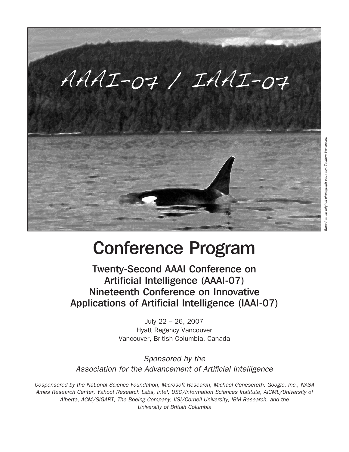

## Conference Program

Twenty-Second AAAI Conference on Artificial Intelligence (AAAI-07) Nineteenth Conference on Innovative Applications of Artificial Intelligence (IAAI-07)

> July 22 – 26, 2007 Hyatt Regency Vancouver Vancouver, British Columbia, Canada

Sponsored by the Association for the Advancement of Artificial Intelligence

Cosponsored by the National Science Foundation, Microsoft Research, Michael Genesereth, Google, Inc., NASA Ames Research Center, Yahoo! Research Labs, Intel, USC/Information Sciences Institute, AICML/University of Alberta, ACM/SIGART, The Boeing Company, IISI/Cornell University, IBM Research, and the University of British Columbia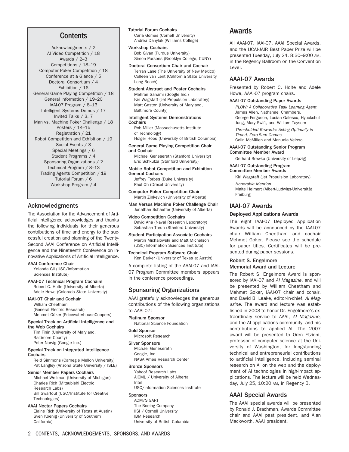## **Contents**

Acknowledgments / 2 AI Video Competition / 18 Awards / 2–3 Competitions / 18–19 Computer Poker Competition / 18 Conference at a Glance / 5 Doctoral Consortium / 4 Exhibition / 16 General Game Playing Competition / 18 General Information / 19–20 IAAI-07 Program / 8–13 Intelligent Systems Demos / 17 Invited Talks / 3, 7 Man vs. Machine Poker Challenge / 18 Posters / 14–15 Registration / 21 Robot Competition and Exhibition / 19 Social Events / 3 Special Meetings / 6 Student Programs / 4 Sponsoring Organizations / 2 Technical Program / 8–13 Trading Agents Competition / 19 Tutorial Forum / 6 Workshop Program / 4

### Acknowledgments

The Association for the Advancement of Artificial Intelligence acknowledges and thanks the following individuals for their generous contributions of time and energy to the successful creation and planning of the Twenty-Second AAAI Conference on Artificial Intelligence and the Nineteenth Conference on Innovative Applications of Artificial Intelligence.

#### AAAI Conference Chair

Yolanda Gil (USC/Information Sciences Institute)

AAAI-07 Technical Program Cochairs Robert C. Holte (University of Alberta) Adele Howe (Colorado State University)

#### IAAI-07 Chair and Cochair

William Cheetham (General Electric Research) Mehmet Göker (PricewaterhouseCoopers)

Special Track on Artificial Intelligence and the Web Cochairs Tim Finin (University of Maryland,

Baltimore County) Peter Norvig (Google Inc.)

#### Special Track on Integrated Intelligence **Cochairs**

Reid Simmons (Carnegie Mellon University) Pat Langley (Arizona State University / ISLE)

#### Senior Member Papers Cochairs

Michael Wellman (University of Michigan) Charles Rich (Mitsubishi Electric Research Labs) Bill Swartout (USC/Institute for Creative Technologies)

#### AAAI Nectar Papers Cochairs

Elaine Rich (University of Texas at Austin) Sven Koenig (University of Southern California)

## Tutorial Forum Cochairs

Carla Gomes (Cornell University) Andrea Danyluk (Williams College)

Workshop Cochairs

Bob Givan (Purdue University) Simon Parsons (Brooklyn College, CUNY)

Doctoral Consortium Chair and Cochair

Terran Lane (The University of New Mexico) Colleen van Lent (California State University Long Beach)

#### Student Abstract and Poster Cochairs

Mehran Sahami (Google Inc.) Kiri Wagstaff (Jet Propulsion Laboratory) Matt Gaston (University of Maryland, Baltimore County)

#### Intelligent Systems Demonstrations **Cochairs**

Rob Miller (Massachusetts Institute of Technology)

Holger Hoos (University of British Columbia)

General Game Playing Competition Chair and Cochair

Michael Genesereth (Stanford University) Eric Schkufza (Stanford University)

Mobile Robot Competition and Exhibition General Cochairs Jeffrey Forbes (Duke University) Paul Oh (Drexel University)

Computer Poker Competition Chair Martin Zinkevich (University of Alberta)

Man Versus Machine Poker Challenge Chair Jonathan Schaeffer (University of Alberta)

Video Competition Cochairs David Aha (Naval Research Laboratory) Sebastian Thrun (Stanford University)

Student Participation Associate Cochairs Martin Michalowski and Matt Michelson (USC/Information Sciences Institute)

Technical Program Software Chair Ken Barker (University of Texas at Austin)

A complete listing of the AAAI-07 and IAAI-07 Program Committee members appears in the conference proceedings.

## Sponsoring Organizations

AAAI gratefully acknowledges the generous contributions of the following organizations to AAAI-07:

Platinum Sponsor National Science Foundation

#### Gold Sponsor

Microsoft Research

Silver Sponsors

Michael Genesereth Google, Inc. NASA Ames Research Center

#### Bronze Sponsors

Yahoo! Research Labs AICML / University of Alberta Intel

USC/Information Sciences Institute

## Sponsors

ACM/SIGART The Boeing Company IISI / Cornell University IBM Research University of British Columbia

## Awards

All AAAI-07, IAAI-07, AAAI Special Awards, and the IJCAI-JAIR Best Paper Prize will be presented Tuesday, July 24, 8:30–9:00 AM, in the Regency Ballroom on the Convention Level.

## AAAI-07 Awards

Presented by Robert C. Holte and Adele Howe, AAAI-07 program chairs.

#### AAAI-07 Outstanding Paper Awards

PLOW: A Collaborative Task Learning Agent James Allen, Nathanael Chambers, George Ferguson, Lucian Galescu, Hyuckchul Jung, Mary Swift, and William Taysom

Thresholded Rewards: Acting Optimally in Timed, Zero-Sum Games Colin McMillen and Manuela Veloso

AAAI-07 Outstanding Senior Program

Committee Member Award Gerhard Brewka (University of Leipzig)

## AAAI-07 Outstanding Program

Committee Member Awards

Kiri Wagstaff (Jet Propulsion Laboratory) Honorable Mention Malte Helmert (Albert-Ludwigs-Universität

Freiburg)

## IAAI-07 Awards

#### Deployed Applications Awards

The eight IAAI-07 Deployed Application Awards will be announced by the IAAI-07 chair William Cheetham and cochair Mehmet Goker. Please see the schedule for paper titles. Certificates will be presented during paper sessions.

#### Robert S. Engelmore Memorial Award and Lecture

The Robert S. Engelmore Award is sponsored by IAAI-07 and AI Magazine, and will be presented by William Cheetham and Mehmet Goker, IAAI-07 chair and cchair, and David B. Leake, editor-in-chief, AI Magazine. The award and lecture was established in 2003 to honor Dr. Engelmore's extraordinary service to AAAI, AI Magazine, and the AI applications community, and his contributions to applied AI. The 2007 award will be presented to Oren Etzioni, professor of computer science at the University of Washington, for longstanding technical and entrepreneurial contributions to artificial intelligence, including seminal research on AI on the web and the deployment of AI technologies in high-impact applications. The lecture will be held Wednesday, July 25, 10:20 AM, in Regency B.

### AAAI Special Awards

The AAAI special awards will be presented by Ronald J. Brachman, Awards Committee chair and AAAI past president, and Alan Mackworth, AAAI president.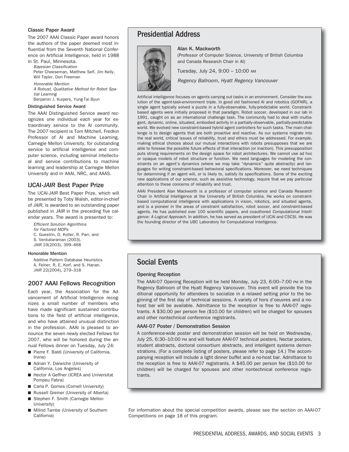#### Classic Paper Award

The 2007 AAAI Classic Paper award honors the authors of the paper deemed most influential from the Seventh National Conference on Artificial Intelligence, held in 1988

in St. Paul, Minnesota. Bayesian Classification Peter Cheeseman, Matthew Self, Jim Kelly, Will Taylor, Don Freeman

Honorable Mention

A Robust, Qualitative Method for Robot Spatial Learning

Benjamin J. Kuipers, Yung-Tai Byun

#### Distinguished Service Award

The AAAI Distinguished Service award recognizes one individual each year for extraordinary service to the AI community. The 2007 recipient is Tom Mitchell, Fredkin Professor of AI and Machine Learning, Carnegie Mellon University, for outstanding service to artificial intelligence and computer science, including seminal intellectual and service contributions to machine learning and leadership at Carnegie Mellon University and in AAAI, NRC, and AAAS.

## IJCAI-*JAIR* Best Paper Prize

The IJCAI-JAIR Best Paper Prize, which will be presented by Toby Walsh, editor-in-chief of JAIR, is awarded to an outstanding paper published in JAIR in the preceding five calendar years. The award is presented to:

Efficient Solution Algorithms for Factored MDPs C. Guestrin, D. Koller, R. Parr, and S. Venkataraman (2003). JAIR 19(2003), 399–468

#### Honorable Mention

Additive Pattern Database Heuristics A, Felner, R, E, Korf, and S. Hanan. JAIR 22(2004), 279–318

### 2007 AAAI Fellows Recognition

Each year, the Association for the Advancement of Artificial Intelligence recognizes a small number of members who have made significant sustained contributions to the field of artificial intelligence, and who have attained unusual distinction in the profession. AAAI is pleased to announce the seven newly elected Fellows for 2007, who will be honored during the annual Fellows dinner on Tuesday, July 24:

- Pierre F. Baldi (University of California, Irvine)
- Adnan Y. Darwiche (University of California, Los Angeles)
- Hector A Geffner (ICREA and Universitat Pompeu Fabra)
- Carla P. Gomes (Cornell University)
- Russell Greiner (University of Alberta)
- Stephen F. Smith (Carnegie Mellon University)
- Milind Tambe (University of Southern California)

## Presidential Address



#### Alan K. Mackworth

(Professor of Computer Science, University of British Columbia and Canada Research Chair in AI)

Tuesday, July 24, 9:00 – 10:00 AM

Regency Ballroom, Hyatt Regency Vancouver

Artificial intelligence focuses on agents carrying out tasks in an environment. Consider the evolution of the agent-task-environment triple. In good old fashioned AI and robotics (GOFAIR), a single agent typically solved a puzzle in a fully-observable, fully-predictable world. Constraintbased agents were initially proposed in that paradigm. Robot soccer, developed in our lab in 1991, caught on as an international challenge task. The community had to deal with multiagent, dynamic, online, situated, embodied activity in a partially-observable, partially-predictable world. We evolved new constraint-based hybrid agent controllers for such tasks. The main challenge is to design agents that are both proactive and reactive. As our systems migrate into the real world, critical issues of reliability, trust and ethics must be addressed. For example, making ethical choices about our mutual interactions with robots presupposes that we are able to foresee the possible future effects of that interaction (or inaction). This presupposition puts strong requirements on the design space for robot architectures. We cannot use ad hoc or opaque models of robot structure or function. We need languages for modeling the constraints on an agent's dynamics (where we may take "dynamics" quite abstractly) and languages for writing constraint-based behavioral specifications. Moreover, we need techniques for determining if an agent will, or is likely to, satisfy its specifications. Some of the exciting new applications of our science, such as assistive technology, require that we pay particular attention to these concerns of reliability and trust.

AAAI President Alan Mackworth is a professor of computer science and Canada Research Chair in Artificial Intelligence at the University of British Columbia. He works on constraintbased computational intelligence with applications in vision, robotics, and situated agents, and is a pioneer in the areas of constraint satisfaction, robot soccer, and constraint-based agents. He has published over 100 scientific papers, and coauthored Computational Intelligence: A Logical Approach. In addition, he has served as president of IJCAI and CSCSI. He was the founding director of the UBC Laboratory for Computational Intelligence.

## Social Events

#### Opening Reception

The AAAI-07 Opening Reception will be held Monday, July 23, 6:00–7:00 PM in the Regency Ballroom of the Hyatt Regency Vancouver. This event will provide the traditional opportunity for attendees to socialize in a relaxed setting prior to the beginning of the first day of technical sessions. A variety of hors d'oeuvres and a nohost bar will be available. Admittance to the reception is free to AAAI-07 registrants. A \$30.00 per person fee (\$10.00 for children) will be charged for spouses and other nontechnical conference registrants.

#### AAAI-07 Poster / Demonstration Session

A conference-wide poster and demonstration session will be held on Wednesday, July 25, 6:30–10:00 PM and will feature AAAI-07 technical posters, Nectar posters, student abstracts, doctoral consortium abstracts, and intelligent systems demonstrations. (For a complete listing of posters, please refer to page 14.) The accompanying reception will include a light dinner buffet and a no-host bar. Admittance to the reception is free to AAAI-07 registrants. A \$45.00 per person fee (\$10.00 for children) will be charged for spouses and other nontechnical conference registrants.

For information about the special competition awards, please see the section on AAAI-07 Competitions on page 18 of this program.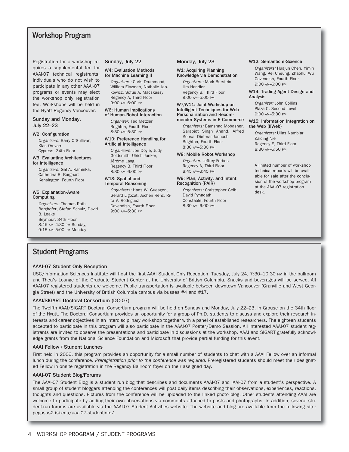## Workshop Program

Registration for a workshop requires a supplemental fee for AAAI-07 technical registrants. Individuals who do not wish to participate in any other AAAI-07 programs or events may elect the workshop only registration fee. Workshops will be held in the Hyatt Regency Vancouver.

#### Sunday and Monday, July 22–23

#### W2: Configuration

Organizers: Barry O'Sullivan, Klas Orsvarn Cypress, 34th Floor

#### W3: Evaluating Architectures for Intelligence

Organizers: Gal A. Kaminka, Catherina R. Burghart Kensington, Fourth Floor

#### W5: Explanation-Aware Computing

Organizers: Thomas Roth-Berghofer, Stefan Schulz, David B. Leake Seymour, 34th Floor 8:45 AM–4:30 PM Sunday, 9:15 AM–5:00 PM Monday

#### Sunday, July 22

#### W4: Evaluation Methods for Machine Learning II

Organizers: Chris Drummond, William Elazmeh, Nathalie Japkowicz, Sofus A. Macskassy Regency A, Third Floor 9:00 AM–6:00 PM

#### W6: Human Implications

of Human-Robot Interaction Organizer: Ted Metzler Brighton, Fourth Floor 8:30 AM–5:30 PM

#### W10: Preference Handling for Artificial Intelligence

Organizers: Jon Doyle, Judy Goldsmith, Ulrich Junker, Jérôme Lang Regency B, Third Floor 8:30 AM–6:00 PM

#### W13: Spatial and Temporal Reasoning

Organizers: Hans W. Guesgen, Gerard Ligozat, Jochen Renz, Rita V. Rodriguez Cavendish, Fourth Floor 9:00 AM–5:30 PM

#### Monday, July 23

#### W1: Acquiring Planning Knowledge via Demonstration

Organizers: Mark Burstein, Jim Hendler Regency B, Third Floor 9:00 AM–5:00 PM

#### W7/W11: Joint Workshop on Intelligent Techniques for Web Personalization and Recommender Systems in E-Commerce

Organizers: Bamshad Mobasher, Sarabjot Singh Anand, Alfred Kobsa, Dietmar Jannach Brighton, Fourth Floor 8:30 AM–5:30 PM

#### W8: Mobile Robot Workshop

Organizer: Jeffrey Forbes Regency A, Third Floor

#### 8:45 AM–3:45 PM W9: Plan, Activity, and Intent

Recognition (PAIR) Organizers: Christopher Geib, David Pynadath Constable, Fourth Floor 8:30 AM–6:00 PM

#### W12: Semantic e-Science

Organizers: Huajun Chen, Yimin Wang, Kei Cheung, Zhaohui Wu Cavendish, Fourth Floor 9:00 AM–6:00 PM

#### W14: Trading Agent Design and Analysis

Organizer: John Collins Plaza C, Second Level 9:00 AM–5:30 PM

#### W15: Information Integration on the Web (IIWeb)

Organizers: Ullas Nambiar, Zaiqing Nie Regency E, Third Floor 8:30 AM–5:50 PM

A limited number of workshop technical reports will be available for sale after the conclusion of the workshop program at the AAAI-07 registration desk.

## Student Programs

#### AAAI-07 Student Only Reception

USC/Information Sciences Institute will host the first AAAI Student Only Reception, Tuesday, July 24, 7:30-10:30 PM in the ballroom and Thea's Lounge of the Graduate Student Center at the University of British Columbia. Snacks and beverages will be served. All AAAI-07 registered students are welcome. Public transportation is available between downtown Vancouver (Granville and West Georgia Street) and the University of British Columbia campus via busses #4 and #17.

#### AAAI/SIGART Doctoral Consortium (DC-07)

The Twelfth AAAI/SIGART Doctoral Consortium program will be held on Sunday and Monday, July 22–23, in Grouse on the 34th floor of the Hyatt. The Doctoral Consortium provides an opportunity for a group of Ph.D. students to discuss and explore their research interests and career objectives in an interdisciplinary workshop together with a panel of established researchers. The eighteen students accepted to participate in this program will also participate in the AAAI-07 Poster/Demo Session. All interested AAAI-07 student registrants are invited to observe the presentations and participate in discussions at the workshop. AAAI and SIGART gratefully acknowledge grants from the National Science Foundation and Microsoft that provide partial funding for this event.

#### AAAI Fellow / Student Lunches

First held in 2006, this program provides an opportunity for a small number of students to chat with a AAAI Fellow over an informal lunch during the conference. Preregistration prior to the conference was required. Preregistered students should meet their designated Fellow in onsite registration in the Regency Ballroom foyer on their assigned day.

#### AAAI-07 Student Blog/Forums

The AAAI-07 Student Blog is a student run blog that describes and documents AAAI-07 and IAAI-07 from a student's perspective. A small group of student bloggers attending the conferences will post daily items describing their observations, experiences, reactions, thoughts and questions. Pictures from the conference will be uploaded to the linked photo blog. Other students attending AAAI are welcome to participate by adding their own observations via comments attached to posts and photographs. In addition, several student-run forums are available via the AAAI-07 Student Activities website. The website and blog are available from the following site: pegasus2.isi.edu/aaai07-studentinfo/.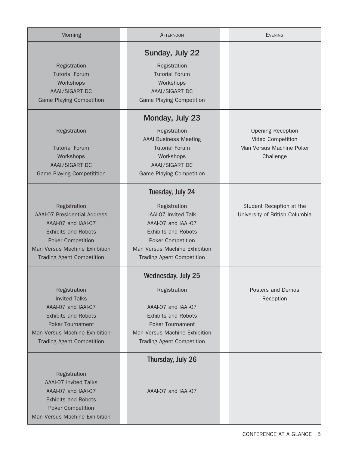| Morning                                                                                                                                                                                                   | <b>AFTERNOON</b>                                                                                                                                                                                               | <b>EVENING</b>                                                                         |
|-----------------------------------------------------------------------------------------------------------------------------------------------------------------------------------------------------------|----------------------------------------------------------------------------------------------------------------------------------------------------------------------------------------------------------------|----------------------------------------------------------------------------------------|
| Registration<br><b>Tutorial Forum</b><br>Workshops<br>AAAI/SIGART DC<br><b>Game Playing Competition</b>                                                                                                   | Sunday, July 22<br>Registration<br><b>Tutorial Forum</b><br>Workshops<br>AAAI/SIGART DC<br><b>Game Playing Competition</b>                                                                                     |                                                                                        |
| Registration<br><b>Tutorial Forum</b><br>Workshops<br>AAAI/SIGART DC<br><b>Game Playing Competitition</b>                                                                                                 | Monday, July 23<br>Registration<br><b>AAAI</b> Business Meeting<br><b>Tutorial Forum</b><br>Workshops<br>AAAI/SIGART DC<br><b>Game Playing Competition</b>                                                     | <b>Opening Reception</b><br>Video Competition<br>Man Versus Machine Poker<br>Challenge |
| Registration<br><b>AAAI-07 Presidential Address</b><br>AAAI-07 and IAAI-07<br><b>Exhibits and Robots</b><br><b>Poker Competition</b><br>Man Versus Machine Exhibition<br><b>Trading Agent Competition</b> | Tuesday, July 24<br>Registration<br>IAAI-07 Invited Talk<br>AAAI-07 and IAAI-07<br><b>Exhibits and Robots</b><br><b>Poker Competition</b><br>Man Versus Machine Exhibition<br><b>Trading Agent Competition</b> | Student Reception at the<br>University of British Columbia                             |
| Registration<br><b>Invited Talks</b><br>AAAI-07 and IAAI-07<br><b>Exhibits and Robots</b><br><b>Poker Tournament</b><br>Man Versus Machine Exhibition<br><b>Trading Agent Competition</b>                 | <b>Wednesday, July 25</b><br>Registration<br>AAAI-07 and IAAI-07<br><b>Exhibits and Robots</b><br><b>Poker Tournament</b><br>Man Versus Machine Exhibition<br><b>Trading Agent Competition</b>                 | Posters and Demos<br>Reception                                                         |
| Registration<br><b>AAAI-07 Invited Talks</b><br>AAAI-07 and IAAI-07<br><b>Exhibits and Robots</b><br><b>Poker Competition</b><br>Man Versus Machine Exhibition                                            | Thursday, July 26<br>AAAI-07 and IAAI-07                                                                                                                                                                       |                                                                                        |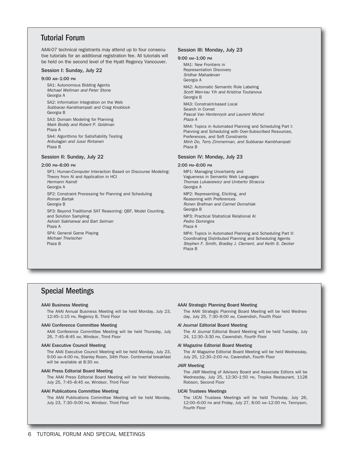## Tutorial Forum

AAAI-07 technical registrants may attend up to four consecutive tutorials for an additional registration fee. All tutorials will be held on the second level of the Hyatt Regency Vancouver.

#### Session I: Sunday, July 22

#### 9:00 AM–1:00 PM

SA1: Autonomous Bidding Agents Michael Wellman and Peter Stone Georgia A

SA2: Information Integration on the Web Subbarao Kambhampati and Craig Knoblock Georgia B

SA3: Domain Modeling for Planning Mark Boddy and Robert P. Goldman Plaza A

SA4: Algorithms for Satisfiability Testing Anbulagan and Jussi Rintanen Plaza B

#### Session II: Sunday, July 22

#### 2:00 PM–6:00 PM

SP1: Human-Computer Interaction Based on Discourse Modeling: Theory from AI and Application in HCI Hermann Kaindl Georgia A SP2: Constraint Processing for Planning and Scheduling Roman Bartak Georgia B SP3: Beyond Traditional SAT Reasoning: QBF, Model Counting, and Solution Sampling Ashish Sabharwal and Bart Selman Plaza A SP4: General Game Playing Michael Thielscher Plaza B

#### Session III: Monday, July 23

#### 9:00 AM–1:00 PM

MA1: New Frontiers in Representation Discovery Sridhar Mahadevan Georgia A MA2: Automatic Semantic Role Labeling Scott Wen-tau Yih and Kristina Toutanova Georgia B MA3: Constraint-based Local Search in Comet Pascal Van Hentenryck and Laurent Michel Plaza A MA4: Topics in Automated Planning and Scheduling Part I: Planning and Scheduling with Over-Subscribed Resources, Preferences, and Soft Constraints Minh Do, Terry Zimmerman, and Subbarao Kambhampati Plaza B

#### Session IV: Monday, July 23

#### 2:00 PM–6:00 PM

MP1: Managing Uncertainty and Vagueness in Semantic Web Languages Thomas Lukasiewicz and Umberto Straccia Georgia A MP2: Representing, Eliciting, and Reasoning with Preferences Ronen Brafman and Carmel Domshlak Georgia B MP3: Practical Statistical Relational AI Pedro Domingos Plaza A MP4: Topics in Automated Planning and Scheduling Part II: Coordinating Distributed Planning and Scheduling Agents Stephen F. Smith, Bradley J. Clement, and Keith S. Decker Plaza B

## Special Meetings

#### AAAI Business Meeting

The AAAI Annual Business Meeting will be held Monday, July 23, 12:45–1:15 PM, Regency B, Third Floor

#### AAAI Conference Committee Meeting

AAAI Conference Committee Meeting will be held Thursday, July 26, 7:45–8:45 AM, Windsor, Third Floor

#### AAAI Executive Council Meeting

The AAAI Executive Council Meeting will be held Monday, July 23, 9:00 AM–4:00 PM, Stanley Room, 34th Floor. Continental breakfast will be available at 8:30 AM.

#### AAAI Press Editorial Board Meeting

The AAAI Press Editorial Board Meeting will be held Wednesday, July 25, 7:45–8:45 AM, Windsor, Third Floor

#### AAAI Publications Committee Meeting

The AAAI Publications Committee Meeting will be held Monday, July 23, 7:30-9:00 PM, Windsor, Third Floor

#### AAAI Strategic Planning Board Meeting

The AAAI Strategic Planning Board Meeting will be held Wednesday, July 25, 7:30–9:00 AM, Cavendish, Fourth Floor

#### *AI Journal* Editorial Board Meeting

The AI Journal Editorial Board Meeting will be held Tuesday, July 24, 12:30–3:30 PM, Cavendish, Fourth Floor

#### *AI Magazine* Editorial Board Meeting

The AI Magazine Editorial Board Meeting will be held Wednesday, July 25, 12:30–2:00 PM, Cavendish, Fourth Floor

#### *JAIR* Meeting

The JAIR Meeting of Advisory Board and Associate Editors will be Wednesday, July 25, 12:30–1:50 PM, Tropika Restaurant, 1128 Robson, Second Floor

#### IJCAI Trustees Meetings

The IJCAI Trustees Meetings will be held Thursday, July 26, 12:00–6:00 PM and Friday, July 27, 8:00 AM–12:00 PM, Tennyson, Fourth Floor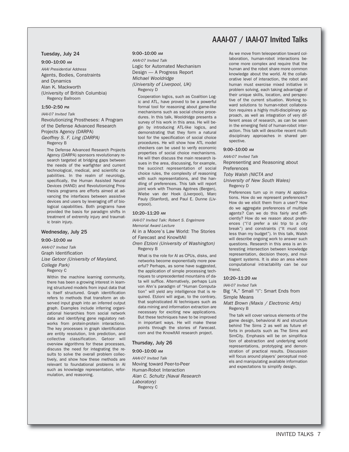## AAAI-07 / IAAI-07 Invited Talks

#### Tuesday, July 24

9:00–10:00 AM

AAAI Presidential Address Agents, Bodies, Constraints and Dynamics Alan K. Mackworth (University of British Columbia) Regency Ballroom

#### 1:50–2:50 PM

IAAI-07 Invited Talk

Revolutionizing Prostheses: A Program of the Defense Advanced Research Projects Agency (DARPA) Geoffrey S. F. Ling (DARPA)

Regency B

The Defense Advanced Research Projects Agency (DARPA) sponsors revolutionary research targeted at bridging gaps between the needs of the warfighter and current technological, medical, and scientific capabilities. In the realm of neurology, specifically, the Human Assisted Neural Devices (HAND) and Revolutionizing Prosthesis programs are efforts aimed at advancing the interfaces between assistive devices and users by leveraging off of biological capabilities. Both programs have provided the basis for paradigm shifts in treatment of extremity injury and traumatic brain injury.

#### Wednesday, July 25

9:00–10:00 AM

AAAI-07 Invited Talk Graph Identification Lise Getoor (University of Maryland, College Park)

Regency C

Within the machine learning community, there has been a growing interest in learning structured models from input data that is itself structured. Graph identification refers to methods that transform an observed input graph into an inferred output graph. Examples include inferring organizational hierarchies from social network data and identifying gene regulatory networks from protein-protein interactions. The key processes in graph identification are entity resolution, link prediction, and collective classification. Getoor will overview algorithms for these processes, discuss the need for integrating the results to solve the overall problem collectively, and show how these methods are relevant to foundational problems in AI such as knowledge representation, reformulation, and reasoning.

#### 9:00–10:00 AM

AAAI-07 Invited Talk Logic for Automated Mechanism Design — A Progress Report Michael Wooldridge (University of Liverpool, UK) Regency D

Cooperation logics, such as Coalition Logic and ATL, have proved to be a powerful formal tool for reasoning about game-like mechanisms such as social choice procedures. In this talk, Wooldridge presents a survey of his work in this area. He will begin by introducing ATL-like logics, and demonstrating that they form a natural tool for the specification of social choice procedures. He will show how ATL model checkers can be used to verify economic properties of social choice mechanisms. He will then discuss the main research issues in the area, discussing, for example, the succinct representation of social choice rules, the complexity of reasoning with such representations, and the handling of preferences. This talk will report joint work with Thomas Agotnes (Bergen), Wiebe van der Hoek (Liverpool), Marc Pauly (Stanford), and Paul E. Dunne (Liverpool).

#### 10:20–11:20 AM

IAAI-07 Invited Talk: Robert S. Engelmore Memorial Award Lecture

AI in a Moore's Law World: The Stories of Farecast and KnowItAll

Oren Etzioni (University of Washington) Regency B

What is the role for AI as CPUs, disks, and networks become exponentially more powerful? Perhaps, as some have suggested, the application of simple processing techniques to unprecedented mountains of data will suffice. Alternatively, perhaps Luis von Ahn's paradigm of "Human Computation" will yield any intelligence that is required. Etzioni will argue, to the contrary, that sophisticated AI techniques such as data mining and information extraction are necessary for exciting new applications. But these techniques have to be improved in important ways. He will make these points through the stories of Farecast. com and the KnowItAll research project.

#### Thursday, July 26

9:00–10:00 AM

AAAI-07 Invited Talk Moving toward Peer-to-Peer Human-Robot Interaction Alan C. Schultz (Naval Research Laboratory) Regency C

As we move from teleoperation toward collaboration, human-robot interactions become more complex and require that the human and the robot share more common knowledge about the world. At the collaborative level of interaction, the robot and human must exercise mixed initiative in problem solving, each taking advantage of their unique skills, location, and perspective of the current situation. Working toward solutions to human-robot collaboration requires a highly multi-disciplinary approach, as well as integration of very different areas of research, as can be seen in the emerging field of human-robot interaction. This talk will describe recent multidisciplinary approaches in shared perspective.

#### 9:00–10:00 AM

AAAI-07 Invited Talk

Representing and Reasoning about Preferences

Toby Walsh (NICTA and

University of New South Wales) Regency D

Preferences turn up in many AI applications. How do we represent preferences? How do we elicit them from a user? How do we aggregate preferences of multiple agents? Can we do this fairly and efficiently? How do we reason about preferences ("I'd prefer a ski trip to a city break") and constraints ("It must cost less than my budget"). In this talk, Walsh will describe ongoing work to answer such questions. Research in this area is an interesting intersection between knowledge representation, decision theory, and multiagent systems. It is also an area where computational intractability can be our friend.

#### 10:20–11:20 AM

IAAI-07 Invited Talk

Big "A," Small "I": Smart Ends from Simple Means

Matt Brown (Maxis / Electronic Arts) Regency B

The talk will cover various elements of the game design, behavioral AI and structure behind The Sims 2 as well as future efforts in products such as The Sims and SimCity. Emphasis will be on simplification of abstraction and underlying world representations, prototyping and demonstration of practical results. Discussion will focus around players' perceptual models and manipulating available information and expectations to simplify design.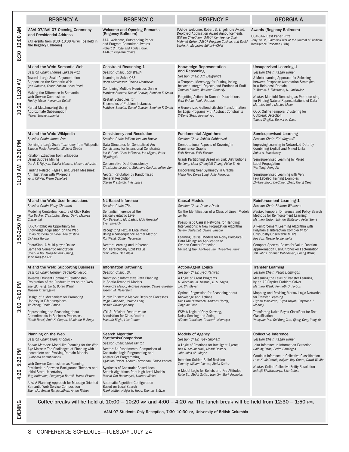|                   | <b>REGENCY A</b>                                                                                                                                                                                                                                                                                                                                                                                                                                                                                                                    | <b>REGENCY C</b>                                                                                                                                                                                                                                                                                                                                                                                                                                                               | <b>REGENCY F</b>                                                                                                                                                                                                                                                                                                                                                                                                      | <b>GEORGIA A</b>                                                                                                                                                                                                                                                                                                                                                                                                                                                                            |
|-------------------|-------------------------------------------------------------------------------------------------------------------------------------------------------------------------------------------------------------------------------------------------------------------------------------------------------------------------------------------------------------------------------------------------------------------------------------------------------------------------------------------------------------------------------------|--------------------------------------------------------------------------------------------------------------------------------------------------------------------------------------------------------------------------------------------------------------------------------------------------------------------------------------------------------------------------------------------------------------------------------------------------------------------------------|-----------------------------------------------------------------------------------------------------------------------------------------------------------------------------------------------------------------------------------------------------------------------------------------------------------------------------------------------------------------------------------------------------------------------|---------------------------------------------------------------------------------------------------------------------------------------------------------------------------------------------------------------------------------------------------------------------------------------------------------------------------------------------------------------------------------------------------------------------------------------------------------------------------------------------|
| 8:30-10:00 AM     | AAAI-07/IAAI-07 Opening Ceremony<br>and Presidential Address<br>(All events from 8:30-10:00 AM will be held in<br>the Regency Ballroom)                                                                                                                                                                                                                                                                                                                                                                                             | <b>Welcome and Opening Remarks</b><br>(Regency Ballroom)<br>AAAI Welcome, Outstanding Paper<br>and Program Committee Awards<br>Robert C. Holte and Adele Howe.<br>AAAI-07 Program Chairs                                                                                                                                                                                                                                                                                       | IAAI-07 Welcome, Robert S. Engelmore Award,<br>Deployed Application Award Announcements<br>William Cheetham, IAAI-07 Conference Chair,<br>Mehmet Goker, IAAI-07 Program Cochair, and David<br>Leake, AI Magazine Editor-in-Chief                                                                                                                                                                                      | Awards (Regency Ballroom)<br><b>UCAI-JAIR Best Paper Prize</b><br>Toby Walsh, Editor-in-Chief of the Journal of Artificial<br>Intelligence Research (JAIR)                                                                                                                                                                                                                                                                                                                                  |
| 10:20-11:20 AM    | AI and the Web: Semantic Web<br>Session Chair: Thomas Lukasiewicz<br>Towards Large Scale Argumentation<br>Support on the Semantic Web<br>Iyad Rahwan, Fouad Zablith, Chris Reed<br>Making the Difference in Semantic<br>Web Service Composition<br>Freddy Lécue, Alexandre Delteil<br>Partial Matchmaking Using<br>Approximate Subsumption<br>Heiner Stuckenschmidt                                                                                                                                                                 | <b>Constraint Reasoning-1</b><br>Session Chair: Toby Walsh<br>Learning to Solve QBF<br>Horst Samulowitz, Roland Memisevic<br><b>Combining Multiple Heuristics Online</b><br>Matthew Streeter, Daniel Golovin, Stephen F. Smith<br><b>Restart Schedules for</b><br>Ensembles of Problem Instances<br>Matthew Streeter, Daniel Golovin, Stephen F. Smith                                                                                                                         | Knowledge Representation<br>and Reasoning<br>Session Chair: Jim Delgrande<br>A Temporal Mereology for Distinguishing<br>between Integral Objects and Portions of Stuff<br>Thomas Bittner, Maureen Donnelly<br>Forgetting Actions in Domain Descriptions<br>Esra Erdem, Paolo Ferraris<br>A Generalized Gelfond-Lifschitz Transformation<br>for Logic Programs with Abstract Constraints<br>Yi-Dong Shen, Jia-Huai You | <b>Unsupervised Learning-1</b><br>Session Chair: Kagan Tumer<br>A Meta-learning Approach for Selecting<br>between Response Automation Strategies<br>in a Help-desk Domain<br>Y. Marom, I. Zukerman, N. Japkowicz<br>Nectar: Manifold Denoising as Preprocessing<br>for Finding Natural Representations of Data<br>Matthias Hein, Markus Maier<br>COD: Online Temporal Clustering for<br><b>Outbreak Detection</b><br>Tomás Singliar, Denver H. Dash                                         |
| 11:30 AM-12:30 PM | AI and the Web: Wikipedia<br>Session Chair: James Fan<br>Deriving a Large-Scale Taxonomy from Wikipedia<br>Simone Paolo Ponzetto, Michael Strube<br>Relation Extraction from Wikipedia<br><b>Using Subtree Mining</b><br>Dat P. T. Nguyen, Yutaka Matsuo, Mitsuru Ishizuka<br>Finding Related Pages Using Green Measures:<br>An Illustration with Wikipedia<br>Yann Ollivier, Pierre Senellart                                                                                                                                      | <b>Consistency and Resolution</b><br>Session Chair: Willem-Jan van Hoeve<br>Data Structures for Generalised Arc<br>Consistency for Extensional Constraints<br>lan P. Gent, Chris Jefferson, Ian Miguel, Peter<br>Nightingale<br><b>Conservative Dual Consistency</b><br>Christophe Lecoutre, Stéphane Cardon, Julien Vion<br>Nectar: Refutation by Randomised<br><b>General Resolution</b><br>Steven Prestwich, Inês Lynce                                                     | <b>Fundamental Algorithms</b><br>Session Chair: Ashish Sabharwal<br>Computational Aspects of Covering in<br>Dominance Graphs<br>Felix Brandt, Felix Fischer<br>Graph Partitioning Based on Link Distributions<br>Bo Long, Mark (Zhongfei) Zhang, Philip S. Yu<br>Discovering Near Symmetry in Graphs<br>Maria Fox, Derek Long, Julie Porteous                                                                         | <b>Semisupervised Learning</b><br>Session Chair: Kiri Wagstaff<br>Improving Learning in Networked Data by<br><b>Combining Explicit and Mined Links</b><br>Sofus A. Macskassy<br>Semisupervised Learning by Mixed<br>Label Propagation<br>Wei Tong, Rong Jin<br>Semisupervised Learning with Very<br>Few Labeled Training Examples<br>Zhi-Hua Zhou, De-Chuan Zhan, Qiang Yang                                                                                                                |
| 1:50-2:50 PM      | AI and the Web: User Interactions<br>Session Chair: Vinay Chaudhri<br>Modeling Contextual Factors of Click Rates<br>Hila Becker, Christopher Meek, David Maxwell<br>Chickering<br>KA-CAPTCHA: An Opportunity for<br>Knowledge Acquisition on the Web<br>Bruno Norberto da Silva, Ana Cristina<br>Bicharra Garcia<br>PhotoSlap: A Multi-player Online<br>Game for Semantic Annotation<br>Chien-Ju Ho, Tsung-Hsiang Chang,<br>Jane Yung-jen Hsu                                                                                       | <b>NL-Based Inference</b><br>Session Chair: TBA<br>Semantic Inference at the<br>Lexical-Syntactic Level<br>Roy Bar-Haim, Ido Dagan, Iddo Greental,<br>Eyal Shnarch<br>Recognizing Textual Entailment<br>Using a Subsequence Kernel Method<br>Rui Wang, Günter Neumann<br>Nectar: Learning and Inference<br>for Hierarchically Split PCFGs<br>Slav Petrov, Dan Klein                                                                                                            | <b>Causal Models</b><br>Session Chair: Denver Dash<br>On the Identification of a Class of Linear Models<br>Jin Tian<br>Possibilistic Causal Networks for Handling<br>Interventions: A New Propagation Algorithm<br>Salem Benferhat, Salma Smaoui<br>Learning Causal Models for Noisy Biological<br>Data Mining: An Application to<br><b>Ovarian Cancer Detection</b><br>Ghim-Eng Yap, Ah-Hwee Tan, Hwee-Hwa Pang      | Reinforcement Learning-1<br>Session Chair: Shimon Whiteson<br>Nectar: Temporal Difference and Policy Search<br>Methods for Reinforcement Learning<br>Matthew Taylor, Shimon Whiteson, Peter Stone<br>A Reinforcement Learning Algorithm with<br>Polynomial Interaction Complexity for<br>Only-Costly-Observable MDPs<br>Roy Fox, Moshe Tennenholtz<br>Compact Spectral Bases for Value Function<br>Approximation Using Kronecker Factorization<br>Jeff Johns, Sridhar Mahadevan, Chang Wang |
| $3:00 - 4:00$ PM  | AI and the Web: Supporting Business<br>Session Chair: Norman Sadeh-Koniecpol<br><b>Towards Efficient Dominant Relationship</b><br>Exploration of the Product Items on the Web<br>Zhenglu Yang, Lin Li, Botao Wang,<br>Masaru Kitsuregawa<br>Design of a Mechanism for Promoting<br>Honesty in E-Marketplaces<br>Jie Zhang, Robin Cohen<br>Representing and Reasoning about<br><b>Commitments in Business Processes</b><br>Nirmit Desai, Amit K. Chopra, Munindar P. Singh                                                           | <b>Information Gathering</b><br>Session Chair: TBA<br>Nonmyopic Informative Path Planning<br>in Spatio-Temporal Models<br>Alexandra Meliou, Andreas Krause, Carlos Guestrin,<br>Joseph M. Hellerstein<br>Purely Epistemic Markov Decision Processes<br>Régis Sabbadin, Jérôme Lang,<br>Nasolo Ravoanjanahry<br>VOILA: Efficient Feature-value<br>Acquisition for Classification<br>Mustafa Bilgic, Lise Getoor                                                                 | <b>Action/Agent Logics</b><br>Session Chair: Iyad Rahwan<br>A Logic of Agent Programs<br>N. Alechina, M. Dastani, B. S. Logan,<br>J.-J. Ch. Meyer<br>Optimal Regression for Reasoning about<br>Knowledge and Actions<br>Hans van Ditmarsch, Andreas Herzig,<br>Tiago de Lima<br>ESP: A Logic of Only-Knowing,<br>Noisy Sensing and Acting<br>Alfredo Gabaldon, Gerhard Lakemeyer                                      | <b>Transfer Learning</b><br>Session Chair: Pedro Domingos<br>Measuring the Level of Transfer Learning<br>by an AP Physics Problem-Solver<br>Matthew Klenk, Kenneth D. Forbus<br>Mapping and Revising Markov Logic Networks<br>for Transfer Learning<br>Lilyana Mihalkova, Tuyen Huynh, Raymond J.<br>Mooney<br>Transferring Naive Bayes Classifiers for Text<br>Classification<br>Wenyuan Dai, Gui-Rong Xue, Qiang Yang, Yong Yu                                                            |
| 4:20-5:20 PM      | Planning on the Web<br>Session Chair: Craig Knoblock<br>Senior Member: Model-lite Planning for the Web<br>Age Masses: The Challenges of Planning with<br>Incomplete and Evolving Domain Models<br>Subbarao Kambhampati<br>Web Service Composition as Planning,<br>Revisited: In Between Background Theories and<br>Initial State Uncertainty<br>Jörg Hoffmann, Piergiorgio Bertoli, Marco Pistore<br>AIW: A Planning Approach for Message-Oriented<br>Semantic Web Service Composition<br>Zhen Liu, Anand Ranganathan, Anton Riabov | Search Algorithm<br>Synthesis/Comparison<br>Session Chair: Steve Minton<br>Nectar: An Experimental Comparison of<br>Constraint Logic Programming and<br>Answer Set Programming<br>Agostino Dovier, Andrea Formisano, Enrico Pontelli<br>Synthesis of Constraint-Based Local<br>Search Algorithms from High-Level Models<br>Pascal Van Hentenryck, Laurent Michel<br>Automatic Algorithm Configuration<br>Based on Local Search<br>Frank Hutter, Holger H. Hoos, Thomas Stützle | <b>Models of Agency</b><br>Session Chair: Yoav Shoham<br>A Logic of Emotions for Intelligent Agents<br>Bas R. Steunebrink, Mehdi Dastani,<br>John-Jules Ch. Meyer<br>Intention Guided Belief Revision<br>Timothy William Cleaver, Abdul Sattar<br>A Modal Logic for Beliefs and Pro Attitudes<br>Kaile Su, Abdul Sattar, Han Lin, Mark Reynolds                                                                       | <b>Collective Inference</b><br>Session Chair: Kagan Tumer<br>Joint Inference in Information Extraction<br>Hoifung Poon, Pedro Domingos<br>Cautious Inference in Collective Classification<br>Luke K. McDowell, Kalyan Moy Gupta, David W. Aha<br><b>Nectar: Online Collective Entity Resolution</b><br>Indrajit Bhattacharya, Lise Getoor                                                                                                                                                   |
| EVENING           |                                                                                                                                                                                                                                                                                                                                                                                                                                                                                                                                     |                                                                                                                                                                                                                                                                                                                                                                                                                                                                                | Coffee breaks will be held at $10:00 - 10:20$ am and $4:00 - 4:20$ pm. The lunch break will be held from $12:30 - 1:50$ pm.<br>AAAI-07 Students-Only Reception, 7:30–10:30 PM, University of British Columbia                                                                                                                                                                                                         |                                                                                                                                                                                                                                                                                                                                                                                                                                                                                             |

8 CONFERENCE SCHEDULE—TUESDAY JULY 24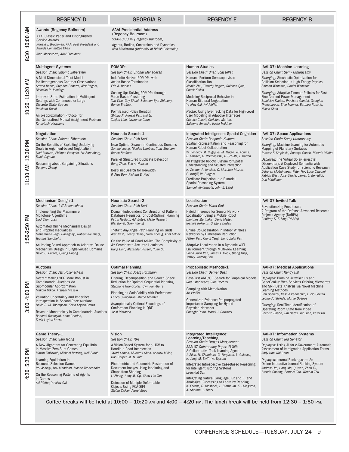|                        | <b>REGENCY D</b>                                                                                                                                                                                                                                                                                                                                                                                                                                     | <b>GEORGIA B</b>                                                                                                                                                                                                                                                                                                                                                                                                                                               | <b>REGENCY E</b>                                                                                                                                                                                                                                                                                                                                                                                                                                                                                                                 | <b>REGENCY B</b>                                                                                                                                                                                                                                                                                                                                                                                                                                         |
|------------------------|------------------------------------------------------------------------------------------------------------------------------------------------------------------------------------------------------------------------------------------------------------------------------------------------------------------------------------------------------------------------------------------------------------------------------------------------------|----------------------------------------------------------------------------------------------------------------------------------------------------------------------------------------------------------------------------------------------------------------------------------------------------------------------------------------------------------------------------------------------------------------------------------------------------------------|----------------------------------------------------------------------------------------------------------------------------------------------------------------------------------------------------------------------------------------------------------------------------------------------------------------------------------------------------------------------------------------------------------------------------------------------------------------------------------------------------------------------------------|----------------------------------------------------------------------------------------------------------------------------------------------------------------------------------------------------------------------------------------------------------------------------------------------------------------------------------------------------------------------------------------------------------------------------------------------------------|
| ⋛<br>$30 - 10.00$<br>ထ | Awards (Regency Ballroom)<br>AAAI Classic Paper and Distinguished<br>Service Awards<br>Ronald J. Brachman, AAAI Past President and<br>Awards Committee Chair<br>Alan Mackworth, AAAI President                                                                                                                                                                                                                                                       | <b>AAAI Presidential Address</b><br>(Regency Ballroom)<br>9:00-10:00 AM (Regency Ballroom)<br>Agents, Bodies, Constraints and Dynamics<br>Alan Mackworth (University of British Columbia)                                                                                                                                                                                                                                                                      |                                                                                                                                                                                                                                                                                                                                                                                                                                                                                                                                  |                                                                                                                                                                                                                                                                                                                                                                                                                                                          |
| ξ<br>11.20<br>$-0.20$  | <b>Multiagent Systems</b><br>Session Chair: Shlomo Zilberstein<br>A Multi-Dimensional Trust Model<br>for Heterogeneous Contract Observations<br>Steven Reece, Stephen Roberts, Alex Rogers,<br>Nicholas R. Jennings<br>Improved State Estimation in Multiagent<br>Settings with Continuous or Large<br>Discrete State Spaces<br>Prashant Doshi<br>An œapproximation Protocol for<br>the Generalized Mutual Assignment Problem<br>Katsutoshi Hirayama | <b>POMDPs</b><br>Session Chair: Sridhar Mahadevan<br>Indefinite-Horizon POMDPs with<br><b>Action-Based Termination</b><br>Eric A. Hansen<br>Scaling Up: Solving POMDPs through<br><b>Value Based Clustering</b><br>Yan Virin, Guy Shani, Solomon Eyal Shimony,<br>Ronen Brafman<br>Point-Based Policy Iteration<br>Shihao Ji, Ronald Parr, Hui Li,<br>Xuejun Liao, Lawrence Carin                                                                              | <b>Human Studies</b><br>Session Chair: Brian Scassellati<br>Humans Perform Semisupervised<br><b>Classification Too</b><br>Xiaojin Zhu, Timothy Rogers, Ruichen Qian,<br><b>Chuck Kalish</b><br>Modeling Reciprocal Behavior in<br>Human Bilateral Negotiation<br>Ya'akov Gal, Avi Pfeffer<br>Nectar: Using Eye-Tracking Data for High-Level<br>User Modeling in Adaptive Interfaces<br>Cristina Conati, Christina Merten,<br>Saleema Amershi, Kasia Muldner                                                                      | IAAI-07: Machine Learning<br>Session Chair: Samy Uthurusamy<br>Emerging: Stochastic Optimization for<br><b>Collision Selection in High Energy Physics</b><br>Shimon Whiteson, Daniel Whiteson<br>Emerging: Adaptive Timeout Policies for Fast<br>Fine-Grained Power Management<br>Branislav Kveton, Prashant Gandhi, Georgios<br>Theocharous, Shie Mannor, Barbara Rosario,<br>Nilesh Shah                                                               |
| L1:30 AM-12:30 PM      | Negotiation<br>Session Chair: Shlomo Zilberstein<br>On the Benefits of Exploiting Underlying<br>Goals in Argument-based Negotiation<br>Iyad Rahwan, Philippe Pasquier, Liz Sonenberg,<br>Frank Dignum<br>Reasoning about Bargaining Situations<br>Dongmo Zhang                                                                                                                                                                                       | <b>Heuristic Search-1</b><br>Session Chair: Rich Korf<br>Near-Optimal Search in Continuous Domains<br>Samuel leong, Nicolas Lambert, Yoav Shoham,<br>Ronen Brafman<br>Parallel Structured Duplicate Detection<br>Rong Zhou, Eric A. Hansen<br>Best-First Search for Treewidth<br>P. Alex Dow. Richard E. Korf                                                                                                                                                  | Integrated Intelligence: Spatial Cognition<br>Session Chair: Benjamin Kuipers<br>Spatial Representation and Reasoning for<br>Human-Robot Collaboration<br>W. Kennedy, M. Bugajska, M. Marge, W. Adams,<br>B. Fransen, D. Perzanowski, A. Schultz, J. Trafton<br>An Integrated Robotic System for Spatial<br>Understanding and Situated Interaction<br>H. Zender, P. Jensfelt, O. Martínez Mozos,<br>G. Kruijff, W. Burgard<br>Predicate Projection in a Bimodal<br>Spatial Reasoning System<br>Samuel Wintermute, John E. Laird  | IAAI-07: Space Applications<br>Session Chair: Samy Uthurusamy<br>Emerging: Machine Learning for Automatic<br>Mapping of Planetary Surfaces<br>Tomasz F. Stepinski, Soumya Ghosh, Ricardo Vilalta<br>Deployed: The Virtual Solar-Terrestrial<br>Observatory: A Deployed Semantic Web<br>Application Case Study for Scientific Research<br>Deborah McGuinness, Peter Fox, Luca Cinquini,<br>Patrick West, Jose Garcia, James L. Benedict,<br>Don Middleton |
| Σ<br>50-2:50           | Mechanism Design-1<br>Session Chair: Jeff Rosenschein<br>Implementing the Maximum of<br>Monotone Algorithms<br>Liad Blumrosen<br>Automated Online Mechanism Design<br>and Prophet Inequalities<br>Mohammad Taghi Hajiaghayi, Robert Kleinberg,<br>Tuomas Sandholm<br>An Ironing-Based Approach to Adaptive Online<br>Mechanism Design in Single-Valued Domains<br>David C. Parkes, Quang Duong                                                       | <b>Heuristic Search-2</b><br>Session Chair: Rich Korf<br>Domain-Independent Construction of Pattern<br>Database Heuristics for Cost-Optimal Planning<br>Patrik Haslum, Adi Botea, Malte Helmert,<br>Blai Bonet, Sven Koenig<br>Theta*: Any-Angle Path Planning on Grids<br>Alex Nash, Kenny Daniel, Sven Koenig, Ariel Felner<br>On the Value of Good Advice: The Complexity of<br>A* Search with Accurate Heuristics<br>Hang Dinh, Alexander Russell, Yuan Su | Localization<br>Session Chair: Maria Gini<br>Hybrid Inference for Sensor Network<br>Localization Using a Mobile Robot<br>Dimitrios Marinakis, David Meger,<br>Ioannis Rekleitis, Gregory Dudek<br>Online Co-Localization in Indoor Wireless<br>Networks by Dimension Reduction<br>Jeffrey Pan, Qiang Yang, Sinno Jialin Pan<br>Adaptive Localization in a Dynamic WiFi<br>Environment through Multi-view Learning<br>Sinno Jialin Pan, James T. Kwok, Qiang Yang,<br>Jeffrey Junfeng Pan                                         | IAAI-07 Invited Talk<br><b>Revolutionizing Prostheses:</b><br>A Program of the Defense Advanced Research<br>Projects Agency (DARPA)<br>Geoffrey S. F. Ling (DARPA)                                                                                                                                                                                                                                                                                       |
| $3.00 - 4.00$ PM       | <b>Auctions</b><br>Session Chair: Jeff Rosenschein<br>Nectar: Making VCG More Robust in<br>Combinatorial Auctions via<br>Submodular Approximation<br>Makoto Yokoo, Atsushi lwasaki<br>Valuation Uncertainty and Imperfect<br>Introspection in Second-Price Auctions<br>David R. M. Thompson, Kevin Leyton-Brown<br>Revenue Monotonicity in Combinatorial Auctions<br>Baharak Rastegari, Anne Condon,<br>Kevin Leyton-Brown                           | <b>Optimal Planning</b><br>Session Chair: Joerg Hoffmann<br>Filtering, Decomposition and Search Space<br>Reduction for Optimal Sequential Planning<br>Stéphane Grandcolas, Cyril Pain-Barre<br>Planning as Satisfiability with Preferences<br>Enrico Giunchiglia, Marco Maratea<br>Asymptotically Optimal Encodings of<br>Conformant Planning in OBF<br>Jussi Rintanen                                                                                         | <b>Probabilistic Methods-1</b><br>Session Chair: Denver Dash<br>Best-First AND/OR Search for Graphical Models<br>Radu Marinescu, Rina Dechter<br>Sampling with Memoization<br>Avi Pfeffer<br>Generalized Evidence Pre-propagated<br>Importance Sampling for Hybrid<br><b>Bayesian Networks</b><br>Changhe Yuan, Marek J. Druzdzel                                                                                                                                                                                                | IAAI-07: Medical Applications<br>Session Chair: Randy Hill<br>Deployed: Biomind ArrayGenius and<br>GeneGenius: Web Services Offering Microarray<br>and SNP Data Analysis via Novel Machine<br><b>Learning Methods</b><br>Ben Goertzel, Cassio Pennachin, Lucio Coelho,<br>Leonardo Shikida, Murilo Queiroz<br>Emerging: Real-Time Identification of<br>Operating Room State from Video<br>Beenish Bhatia, Tim Oates, Yan Xiao, Peter Hu                  |
| Σ<br>$20 - 5:20$       | Game Theory-1<br>Session Chair: Sam leong<br>A New Algorithm for Generating Equilibria<br>in Massive Zero-Sum Games<br>Martin Zinkevich, Michael Bowling, Neil Burch<br>Learning Equilibrium in<br><b>Resource Selection Games</b><br>Itai Ashlagi, Dov Monderer, Moshe Tennenholtz<br>On the Reasoning Patterns of Agents<br>in Games<br>Avi Pfeffer, Ya'akov Gal                                                                                   | <b>Vision</b><br>Session Chair: TBA<br>A Vision-Based System for a UGV to<br>Handle a Road Intersection<br>Javed Ahmed, Mubarak Shah, Andrew Miller,<br>Don Harper, M. N. Jafri<br>Photometric and Geometric Restoration of<br>Document Images Using Inpainting and<br>Shape-from-Shading<br>Li Zhang, Andy M. Yip, Chew Lim Tan<br>Detection of Multiple Deformable<br>Objects Using PCA-SIFT<br>Stefan Zickler, Alexei Efros                                 | Integrated Intelligence:<br>Learning/Teaching<br>Session Chair: Dragos Margineantu<br>AAAI-07 Outstanding Paper: PLOW:<br>A Collaborative Task Learning Agent<br>J. Allen, N. Chambers, G. Ferguson, L. Galescu,<br>H. Jung, M. Swift, W. Taysom<br>Integrated Introspective Case-Based Reasoning<br>for Intelligent Tutoring Systems<br>Leen-Kiat Soh<br>Integrating Natural Language, KR and R, and<br>Analogical Processing to Learn by Reading<br>K. Forbus, C. Riesbeck, L. Birnbaum, K. Livingston,<br>A. Sharma, L. Ureel | IAAI-07: Information Systems<br>Session Chair: Ted Senator<br>Deployed: Using AI for e-Government Automatic<br>Assessment of Immigration Application Forms<br>Andy Hon Wai Chun<br>Deployed: Journal-Ranking.com: An<br>Online Interactive Journal Ranking System<br>Andrew Lim, Hong Ma, Qi Wen, Zhou Xu,<br>Brenda Cheang, Bernard Tan, Wenbin Zhu                                                                                                     |

Coffee breaks will be held at 10:00 – 10:20 AM and 4:00 – 4:20 PM. The lunch break will be held from 12:30 – 1:50 PM.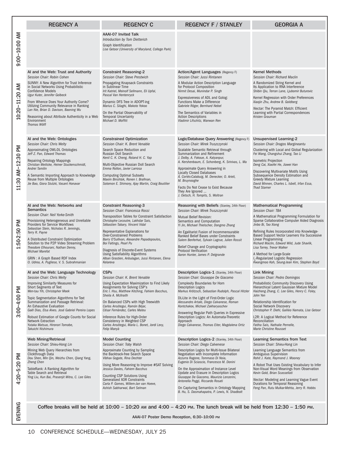|                           | <b>REGENCY A</b>                                                                                                                                                                                                                                                                                                                                                                                                                                                            | <b>REGENCY C</b>                                                                                                                                                                                                                                                                                                                                                                                                                                                                     | <b>REGENCY F / STANLEY</b>                                                                                                                                                                                                                                                                                                                                                                                                                                                                                                   | <b>GEORGIA A</b>                                                                                                                                                                                                                                                                                                                                                                                                                                                                             |
|---------------------------|-----------------------------------------------------------------------------------------------------------------------------------------------------------------------------------------------------------------------------------------------------------------------------------------------------------------------------------------------------------------------------------------------------------------------------------------------------------------------------|--------------------------------------------------------------------------------------------------------------------------------------------------------------------------------------------------------------------------------------------------------------------------------------------------------------------------------------------------------------------------------------------------------------------------------------------------------------------------------------|------------------------------------------------------------------------------------------------------------------------------------------------------------------------------------------------------------------------------------------------------------------------------------------------------------------------------------------------------------------------------------------------------------------------------------------------------------------------------------------------------------------------------|----------------------------------------------------------------------------------------------------------------------------------------------------------------------------------------------------------------------------------------------------------------------------------------------------------------------------------------------------------------------------------------------------------------------------------------------------------------------------------------------|
| 9:00-10:00 AM             |                                                                                                                                                                                                                                                                                                                                                                                                                                                                             | <b>AAAI-07 Invited Talk</b><br>Introduction by Tom Dietterich<br>Graph Identification<br>Lise Getoor (University of Maryland, College Park)                                                                                                                                                                                                                                                                                                                                          |                                                                                                                                                                                                                                                                                                                                                                                                                                                                                                                              |                                                                                                                                                                                                                                                                                                                                                                                                                                                                                              |
| 10:20-11:20 AM            | AI and the Web: Trust and Authority<br>Session Chair: Robin Cohen<br>SUNNY: A New Algorithm for Trust Inference<br>in Social Networks Using Probabilistic<br><b>Confidence Models</b><br>Ugur Kuter, Jennifer Golbeck<br>From Whence Does Your Authority Come?<br>Utilizing Community Relevance in Ranking<br>Lan Nie, Brian D. Davison, Baoning Wu<br>Reasoning about Attribute Authenticity in a Web<br>Environment<br>Thomas Wölfl                                       | <b>Constraint Reasoning-2</b><br>Session Chair: Steve Prestwich<br>Propagating Knapsack Constraints<br>in Sublinear Time<br>Irit Katriel, Meinolf Sellmann, Eli Upfal,<br>Pascal Van Hentenryck<br>Dynamic DFS Tree in ADOPT-ing<br>Marius C. Silaghi, Makoto Yokoo<br>On the Partial Observability of<br><b>Temporal Uncertainty</b><br>Michael D. Moffitt                                                                                                                          | Action/Agent Languages (Regency F)<br>Session Chair: Jussi Rintanen<br>A Modular Action Description Language<br>for Protocol Composition<br>Nirmit Desai, Munindar P. Singh<br>Expressiveness of ADL and Golog:<br>Functions Make a Difference<br>Gabriele Röger, Bernhard Nebel<br>The Semantics of Variables in<br><b>Action Descriptions</b><br>Vladimir Lifschitz, Wanwan Ren                                                                                                                                            | <b>Kernel Methods</b><br>Session Chair: Richard Maclin<br>A Randomized String Kernel and<br>Its Application to RNA Interference<br>Shibin Qiu, Terran Lane, Ljubomir Buturovic<br>Kernel Regression with Order Preferences<br>Xiaojin Zhu, Andrew B. Goldberg<br>Nectar: The Pyramid Match: Efficient<br>Learning with Partial Correspondences<br>Kristen Grauman                                                                                                                            |
| 11:30 AM-12:30 PM         | AI and the Web: Ontologies<br>Session Chair: Chris Welty<br>Approximating OWL-DL Ontologies<br>Jeff Z. Pan, Edward Thomas<br><b>Repairing Ontology Mappings</b><br>Christian Meilicke, Heiner Stuckenschmidt,<br>Andrei Tamilin<br>A Semantic Importing Approach to Knowledge<br>Reuse from Multiple Ontologies<br>Jie Bao, Giora Slutzki, Vasant Honavar                                                                                                                   | <b>Constrained Optimization</b><br>Session Chair: K. Brent Venable<br>Search Space Reduction and<br>Russian Doll Search<br>Kenil C. K. Cheng, Roland H. C. Yap<br>Multi-Objective Russian Doll Search<br>Emma Rollon, Javier Larrosa<br><b>Computing Optimal Subsets</b><br>Maxim Binshtok, Ronen I. Brafman,<br>Solomon E. Shimony, Ajay Martin, Craig Boutilier                                                                                                                    | Logic/Database Query Answering (Regency F)<br>Session Chair: Mirek Truszczynski<br>Scalable Semantic Retrieval through<br>Summarization and Refinement<br>J. Dolby, A. Fokoue, A. Kalyanpur,<br>A. Kershenbaum, E. Schonberg, K. Srinivas, L. Ma<br>Approximate Query Answering in<br><b>Locally Closed Databases</b><br>Á. Cortés-Calabuig, M. Denecker, O. Arieli,<br>M. Bruynooghe<br>Facts Do Not Cease to Exist Because<br>They Are Ignored<br>J. Oetsch, H. Tompits, S. Woltran                                        | <b>Unsupervised Learning-2</b><br>Session Chair: Dragos Margineantu<br>Clustering with Local and Global Regularization<br>Fei Wang, Changshui Zhang, Tao Li<br><b>Isometric Projection</b><br>Deng Cai, Xiaofei He, Jiawei Han<br>Discovering Multivariate Motifs Using<br>Subsequence Density Estimation and<br><b>Greedy Mixture Learning</b><br>David Minnen, Charles L. Isbell, Irfan Essa,<br><b>Thad Starner</b>                                                                       |
| 1:50-2:50 PM              | AI and the Web: Networks and<br><b>Semantics</b><br>Session Chair: Neil Yorke-Smith<br>Provisioning Heterogeneous and Unreliable<br>Providers for Service Workflows<br>Sebastian Stein, Nicholas R. Jennings,<br>Terry R. Payne<br>A Distributed Constraint Optimization<br>Solution to the P2P Video Streaming Problem<br>Theodore Elhourani, Nathan Denny,<br><b>Michael Marefat</b><br>GRIN: A Graph Based RDF Index<br>O. Udrea, A. Pugliese, V. S. Subrahmanian        | <b>Constraint Reasoning-3</b><br>Session Chair: Francesca Rossi<br>Transposition Tables for Constraint Satisfaction<br>Christophe Lecoutre, Lakhdar Sais,<br>Sébastien Tabary, Vincent Vidal<br>Representative Explanations for<br><b>Over-Constrained Problems</b><br>Barry O'Sullivan, Alexandre Papadopoulos,<br>Boi Faltings, Pearl Pu<br>Diagnosis of Discrete-Event Systems<br>Using Satisfiability Algorithms<br>Alban Grastien, Anbulagan, Jussi Rintanen, Elena<br>Kelareva | Reasoning with Beliefs (Stanley, 34th Floor)<br>Session Chair: Mirek Truszczynski<br>Mutual Belief Revision:<br>Semantics and Computation<br>Yi Jin, Michael Thielscher, Dongmo Zhang<br>An Egalitarist Fusion of Incommensurable<br>Ranked Belief Bases under Constraints<br>Salem Benferhat, Sylvain Lagrue, Julien Rossit<br>Belief Change and Cryptographic<br><b>Protocol Verification</b><br>Aaron Hunter, James P. Delgrande                                                                                          | <b>Mathematical Programming</b><br>Session Chair: TBA<br>A Mathematical Programming Formulation for<br>Sparse Collaborative Computer Aided Diagnosis<br>Jinbo Bi, Tao Xiong<br>Refining Rules Incorporated into Knowledge-<br>Based Support Vector Learners Via Successive<br>Linear Programming<br>Richard Maclin, Edward Wild, Jude Shavlik,<br>Lisa Torrey, Trevor Walker<br>A Method for Large-Scale<br>I.-Regularized Logistic Regression<br>Kwangmoo Koh, Seung-Jean Kim, Stephen Boyd |
| Μd<br>$3:00 - 4:00$       | AI and the Web: Language Technology<br>Session Chair: Chris Welty<br>Improving Similarity Measures for<br>Short Segments of Text<br>Wen-tau Yih, Christopher Meek<br>Topic Segmentation Algorithms for Text<br>Summarization and Passage Retrieval:<br>An Exhaustive Evaluation<br>Gaël Dias, Elsa Alves. José Gabriel Pereira Lopes<br>Robust Estimation of Google Counts for Social<br><b>Network Extraction</b><br>Yutaka Matsuo, Hironori Tomobe,<br>Takuichi Nishimura | <b>CSPs</b><br>Session Chair: K. Brent Venable<br>Using Expectation Maximization to Find Likely<br>Assignments for Solving CSP's<br>Eric I. Hsu, Matthew Kitching, Fahiem Bacchus,<br>Sheila A. McIlraith<br>On Balanced CSPs with High Treewidth<br>Carlos Ansótegui, Ramón Béjar,<br>César Fernàndez, Carles Mateu<br>Inference Rules for High-Order<br>Consistency in Weighted CSP<br>Carlos Ansótegui, María L. Bonet, Jordi Levy,<br>Felip Manyà                                | Description Logics-1 (Stanley, 34th Floor)<br>Session Chair: Giuseppe De Giacomo<br><b>Complexity Boundaries for Horn</b><br><b>Description Logics</b><br>Markus Krötzsch, Sebastian Rudolph, Pascal Hitzler<br>DL-Lite in the Light of First-Order Logic<br>Alessandro Artale, Diego Calvanese, Roman<br>Kontchakov, Michael Zakharyaschev<br>Answering Regular Path Queries in Expressive<br>Description Logics: An Automata-Theoretic<br>Approach<br>Diego Calvanese, Thomas Eiter, Magdalena Ortiz                       | <b>Link Mining</b><br>Session Chair: Pedro Domingos<br>Probabilistic Community Discovery Using<br>Hierarchical Latent Gaussian Mixture Model<br>Haizheng Zhang, C. Lee Giles, Henry C. Foley,<br>John Yen<br>Relationship Identification for<br>Social Network Discovery<br>Christopher P. Diehl, Galileo Namata, Lise Getoor<br>L2R: A Logical Method for Reference<br>Reconciliation<br>Fatiha Saïs, Nathalie Pernelle,<br>Marie Christine Rousset                                         |
| Μd<br>$-5.20$<br>$4:20 -$ | Web Mining/Retrieval<br>Session Chair: Shieu-Hong Lin<br>Mining Web Query Hierarchies from<br>Clickthrough Data<br>Dou Shen, Min Qin, Weizhu Chen, Qiang Yang,<br>Zheng Chen<br>TableRank: A Ranking Algorithm for<br>Table Search and Retrieval<br>Ying Liu, Kun Bai, Prasenjit Mitra, C. Lee Giles                                                                                                                                                                        | <b>Model Counting</b><br>Session Chair: Toby Walsh<br>Approximate Counting by Sampling<br>the Backtrack-free Search Space<br>Vibhav Gogate, Rina Dechter<br>Using More Reasoning to Improve #SAT Solving<br>Jessica Davies, Fahiem Bacchus<br><b>Counting CSP Solutions Using</b><br>Generalized XOR Constraints<br>Carla P. Gomes, Willem-Jan van Hoeve,<br>Ashish Sabharwal, Bart Selman                                                                                           | Description Logics-2 (Stanley, 34th Floor)<br>Session Chair: Diego Calvenese<br>Description Logics for Multi-Issue Bilateral<br>Negotiation with Incomplete Information<br>Azzurra Ragone, Tommaso Di Noia,<br>Eugenio Di Sciascio, Francesco M. Donini<br>On the Approximation of Instance Level<br>Update and Erasure in Description Logics<br>Giuseppe De Giacomo, Maurizio Lenzerini,<br>Antonella Poggi, Riccardo Rosati<br>On Capturing Semantics in Ontology Mapping<br>B. Hu, S. Dasmahapatra, P. Lewis, N. Shadbolt | Learning Semantics from Text<br>Session Chair: Shieu-Hong Lin<br>Learning Language Semantics from<br>Ambiguous Supervision<br>Rohit J. Kate, Raymond J. Mooney<br>A Robot That Uses Existing Vocabulary to Infer<br>Non-Visual Word Meanings from Observation<br>Kevin Gold, Brian Scassellati<br>Nectar: Modeling and Learning Vague Event<br>Durations for Temporal Reasoning<br>Feng Pan, Rutu Mulkar-Mehta, Jerry R. Hobbs                                                               |
| EVENING                   | Coffee breaks will be held at $10:00 - 10:20$ am and $4:00 - 4:20$ pm. The lunch break will be held from $12:30 - 1:50$ pm.<br>AAAI-07 Poster Demo Reception, 6:30-10:00 PM                                                                                                                                                                                                                                                                                                 |                                                                                                                                                                                                                                                                                                                                                                                                                                                                                      |                                                                                                                                                                                                                                                                                                                                                                                                                                                                                                                              |                                                                                                                                                                                                                                                                                                                                                                                                                                                                                              |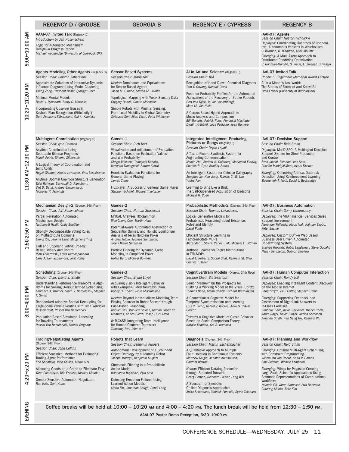|                   | <b>REGENCY D / GROUSE</b>                                                                                                                                                                                                                                                                                                                                                                                                                                                             | <b>GEORGIA B</b>                                                                                                                                                                                                                                                                                                                                                                                                                                                                   | <b>REGENCY E / CYPRESS</b>                                                                                                                                                                                                                                                                                                                                                                                                                                                                                                        | <b>REGENCY B</b>                                                                                                                                                                                                                                                                                                                                                                                                                          |
|-------------------|---------------------------------------------------------------------------------------------------------------------------------------------------------------------------------------------------------------------------------------------------------------------------------------------------------------------------------------------------------------------------------------------------------------------------------------------------------------------------------------|------------------------------------------------------------------------------------------------------------------------------------------------------------------------------------------------------------------------------------------------------------------------------------------------------------------------------------------------------------------------------------------------------------------------------------------------------------------------------------|-----------------------------------------------------------------------------------------------------------------------------------------------------------------------------------------------------------------------------------------------------------------------------------------------------------------------------------------------------------------------------------------------------------------------------------------------------------------------------------------------------------------------------------|-------------------------------------------------------------------------------------------------------------------------------------------------------------------------------------------------------------------------------------------------------------------------------------------------------------------------------------------------------------------------------------------------------------------------------------------|
| 9:00-10:00 AM     | AAAI-07 Invited Talk (Regency D)<br>Introduction by Jeff Rosenschein<br>Logic for Automated Mechanism<br>Design-A Progress Report<br>Michael Wooldridge (University of Liverpool, UK)                                                                                                                                                                                                                                                                                                 |                                                                                                                                                                                                                                                                                                                                                                                                                                                                                    |                                                                                                                                                                                                                                                                                                                                                                                                                                                                                                                                   | IAAI-07: Agents<br>Session Chair: Nestor Rychtyckyj<br>Deployed: Coordinating Hundreds of Coopera-<br>tive, Autonomous Vehicles in Warehouses<br>P. Wurman, R. D'Andrea, Mick Mountz<br>Emerging: A Multi-Agent Approach to<br>Distributed Rendering Optimization<br>C. Gonzalez-Morcillo, G. Weiss, L. Jimenez, D. Vallejo                                                                                                               |
| 10:20-11:20 AM    | Agents Modeling Other Agents (Regency D)<br>Session Chair: Shlomo Zilberstein<br>Approximate Solutions of Interactive Dynamic<br>Influence Diagrams Using Model Clustering<br>Yifeng Zeng, Prashant Doshi, Qiongyu Chen<br><b>Minimal Mental Models</b><br>David V. Pynadath, Stacy C. Marsella<br>Incorporating Observer Biases in<br>Keyhole Plan Recognition (Efficiently!)<br>Dorit Avrahami-Zilberbrand, Gal A. Kaminka                                                          | <b>Sensor-Based Systems</b><br>Session Chair: Maria Gini<br>Nectar: Dominance and Equivalence<br>for Sensor-Based Agents<br>Jason M. O'Kane, Steven M. LaValle<br>Topological Mapping with Weak Sensory Data<br>Gregory Dudek, Dimitri Marinakis<br>Simple Robots with Minimal Sensing:<br>From Local Visibility to Global Geometry<br>Subhash Suri, Elias Vicari, Peter Widmayer                                                                                                  | AI in Art and Science (Regency E)<br>Session Chair: TBA<br>Recognition of Hand Drawn Chemical Diagrams<br>Tom Y. Ouyang, Randall Davis<br>Posterior Probability Profiles for the Automated<br>Assessment of the Recovery of Stroke Patients<br>Gert Van Dijck, Jo Van Vaerenbergh,<br>Marc M. Van Hulle<br>A Corpus-Based Hybrid Approach to<br>Music Analysis and Composition<br>Bill Manaris, Patrick Roos, Penousal Machado,<br>Dwight Krehbiel, Luca Pellicoro, Juan Romero                                                   | <b>IAAI-07 Invited Talk</b><br>Robert S. Engelmore Memorial Award Lecture<br>AI in a Moore's Law World:<br>The Stories of Farecast and KnowltAll<br>Oren Etzioni (University of Washington)                                                                                                                                                                                                                                               |
| 11:30 AM-12:30 PM | Multiagent Coordination (Regency D)<br>Session Chair: Iyad Rahwan<br><b>Anytime Coordination Using</b><br>Separable Bilinear Programs<br>Marek Petrik, Shlomo Zilberstein<br>A Logical Theory of Coordination and<br>Joint Ability<br>Hojjat Ghaderi, Hector Levesque, Yves Lespérance<br>Anytime Optimal Coalition Structure Generation<br>Talal Rahwan, Sarvapali D. Ramchurn,<br>Viet D. Dang, Andrea Giovannucci,<br>Nicholas R. Jennings                                         | Games-1<br>Session Chair: Rich Korf<br>Visualization and Adjustment of Evaluation<br>Functions Based on Evaluation Values<br>and Win Probability<br>Shogo Takeuchi, Tomoyuki Kaneko,<br>Kazunori Yamaguchi, Satoru Kawai<br>Heuristic Evaluation Functions for<br><b>General Game Playing</b><br>James Clune<br>Fluxplayer: A Successful General Game Player<br>Stephan Schiffel, Michael Thielscher                                                                               | Integrated Intelligence: Producing<br>Pictures or Songs (Regency E)<br>Session Chair: Bryan Loyall<br>A Text-to-Picture Synthesis System for<br>Augmenting Communication<br>Xiaojin Zhu, Andrew B. Goldberg, Mohamed Eldawy,<br>Charles R. Dyer, Bradley Strock<br>An Intelligent System for Chinese Calligraphy<br>Songhua Xu, Hao Jiang, Francis C. M. Lau,<br>Yunhe Pan<br>Learning to Sing Like a Bird:<br>The Self-Supervised Acquisition of Birdsong<br>Michael H. Coen                                                     | IAAI-07: Decision Support<br>Session Chair: Reid Smith<br>Deployed: MasDISPO: A Multiagent Decision<br>Support System for Steel Production<br>and Control<br>Sven Jacobi, Esteban León-Soto,<br>Cristián Madrigal-Mora, Klaus Fischer<br>Emerging: Optimizing Anthrax Outbreak<br>Detection Using Reinforcement Learning<br>Masoumeh T. Izadi, David L. Buckeridge                                                                        |
| 1:50-2:50 PM      | Mechanism Design-2 (Grouse, 34th Floor)<br>Session Chair: Jeff Rosenschein<br><b>Partial Revelation Automated</b><br>Mechanism Design<br>Nathanaël Hyafil, Craig Boutilier<br>Strongly Decomposable Voting Rules<br>on Multiattribute Domains<br>Lirong Xia, Jérôme Lang, Mingsheng Ying<br>Llull and Copeland Voting Broadly<br>Resist Bribery and Control<br>Piotr Faliszewski, Edith Hemaspaandra,<br>Lane A. Hemaspaandra, Jörg Rothe                                             | Games-2<br>Session Chair: Nathan Sturtevant<br>M <sup>2</sup> ICAL Analyses HC-Gammon<br>Wee-Chong Oon, Martin Henz<br>Potential-Aware Automated Abstraction of<br>Sequential Games, and Holistic Equilibrium<br>Analysis of Texas Hold'em Poker<br>Andrew Gilpin, Tuomas Sandholm,<br>Troels Bjerre Sørensen<br>Particle Filtering for Dynamic Agent<br>Modeling in Simplified Poker<br>Nolan Bard, Michael Bowling                                                               | Probabilistic Methods-2 (Cypress, 34th Floor)<br>Session Chair: Thomas Lukasiewicz<br>Logical Generative Models for<br>Probabilistic Reasoning about Existence,<br>Roles and Identity<br>David Poole<br>Efficient Structure Learning in<br>Factored-State MDPs<br>Alexander L. Strehl, Carlos Diuk, Michael L. Littman<br>Authorial Idioms for Target Distributions<br>in TTD-MDPs<br>David L. Roberts, Sooraj Bhat, Kenneth St. Clair,<br>Charles L. Isbell                                                                      | IAAI-07: Business Automation<br>Session Chair: Samy Uthurusamy<br>Deployed: The VITA Financial Services Sales<br>Support Environment<br>Alexander Felfernig, Klaus Isak, Kalman Szabo,<br>Peter Zachar<br>Deployed: Custom DU®-A Web Based<br><b>Business User Driven Automated</b><br><b>Underwriting System</b><br>Srinivas Krowidy, Robin Landsman, Steve Opdahl,<br>Nancy Templeton, Sydnor Smalera                                   |
| $3:00 - 4:00$ PM  | Scheduling (Grouse, 34th Floor)<br>Session Chair: David E. Smith<br>Understanding Performance Tradeoffs in Algo-<br>rithms for Solving Oversubscribed Scheduling<br>Laurence A. Kramer, Laura V. Barbulescu, Stephen<br>F. Smith<br>Randomized Adaptive Spatial Decoupling for<br>Large-Scale Vehicle Routing with Time Windows<br>Russell Bent, Pascal Van Hentenryck<br>Population-Based Simulated Annealing<br>for Traveling Tournaments<br>Pascal Van Hentenryck, Yannis Vergados | Games-3<br>Session Chair: Bryan Loyall<br>Acquiring Visibly Intelligent Behavior<br>with Example-Guided Neuroevolution<br>Bobby D. Bryant, Risto Miikkulainen<br>Nectar: Beyond Individualism: Modeling Team<br>Playing Behavior in Robot Soccer through<br>Case-Based Reasoning<br>Raquel Ros, Manuela Veloso, Ramon López de<br>Mántaras, Carles Sierra, Josep Lluis Arcos<br>II: R-CAST: Integrating Team Intelligence<br>for Human-Centered Teamwork<br>Xiaocong Fan, John Yen | Cognitive/Brain Models (Cypress, 34th Floor)   IAAI-07: Human Computer Interaction<br>Session Chair: Bill Swartout<br>Senior Member: On the Prospects for<br>Building a Working Model of the Visual Cortex<br>Thomas Dean, Glenn Carroll, Richard Washington<br>A Connectionist Cognitive Model for<br>Temporal Synchronisation and Learning<br>Luís C. Lamb, Rafael V. Borges, Artur S. d'Avila<br>Garcez<br>Towards a Cognitive Model of Crowd Behavior<br>Based on Social Comparison Theory<br>Natalie Fridman, Gal A. Kaminka | Session Chair: Randy Hill<br>Deployed: Enabling Intelligent Content Discovery<br>on the Mobile Internet<br>Barry Smyth, Paul Cotter, Stephen Oman<br>Emerging: Supporting Feedback and<br>Assessment of Digital Ink Answers to<br>In-Class Exercises<br>Kimberle Koile, Kevin Chevalier, Michel Rbeiz,<br>Adam Rogal, David Singer, Jordan Sorensen,<br>Amanda Smith, Kah Seng Tay, Kenneth Wu                                            |
| 4:20-5:20 PM      | <b>Trading/Negotiating Agents</b><br>(Grouse, 34th Floor)<br>Session Chair: John Collins<br><b>Efficient Statistical Methods for Evaluating</b><br><b>Trading Agent Performance</b><br>Eric Sodomka, John Collins, Maria Gini<br>Allocating Goods on a Graph to Eliminate Envy<br>Yann Chevaleyre, Ulle Endriss, Nicolas Maudet<br>Gender-Sensitive Automated Negotiators<br>Ron Katz, Sarit Kraus                                                                                    | Robots that Learn<br>Session Chair: Benjamin Kuipers<br>Autonomous Development of a Grounded<br>Object Ontology by a Learning Robot<br>Joseph Modayil, Benjamin Kuipers<br>Stochastic Filtering in a Probabilistic<br><b>Action Model</b><br>Hannaneh Hajishirzi, Eyal Amir<br>Detecting Execution Failures Using<br><b>Learned Action Models</b><br>Maria Fox, Jonathan Gough, Derek Long                                                                                         | Diagnosis (Cypress, 34th Floor)<br>Session Chair: Martin Sachenbacher<br>A Qualitative Approach to Multiple<br>Fault Isolation in Continuous Systems<br>Matthew Daigle, Xenofon Koutsoukos,<br>Gautam Biswas<br>Nectar: Efficient Datalog Abduction<br>through Bounded Treewidth<br>Georg Gottlob, Reinhard Pichler, Fang Wei<br>A Spectrum of Symbolic<br>On-line Diagnosis Approaches<br>Anika Schumann, Yannick Pencolé, Sylvie Thiébaux                                                                                       | IAAI-07: Planning and Workflow<br>Session Chair: Reid Smith<br>Emerging: Optimal Multi-Agent Scheduling<br>with Constraint Programming<br>Willem-Jan van Hoeve, Carla P. Gomes,<br>Bart Selman, Michele Lombardi<br>Emerging: Wings for Pegasus: Creating<br>Large-Scale Scientific Applications Using<br>Semantic Representations of Computational<br>Workflows<br>Yolanda Gil, Varun Ratnakar, Ewa Deelman,<br>Gaurang Mehta, Jihie Kim |
| EVENING           |                                                                                                                                                                                                                                                                                                                                                                                                                                                                                       |                                                                                                                                                                                                                                                                                                                                                                                                                                                                                    | Coffee breaks will be held at $10:00 - 10:20$ am and $4:00 - 4:20$ pm. The lunch break will be held from $12:30 - 1:50$ pm.<br>AAAI-07 Poster Demo Reception, 6:30-10:00 PM                                                                                                                                                                                                                                                                                                                                                       |                                                                                                                                                                                                                                                                                                                                                                                                                                           |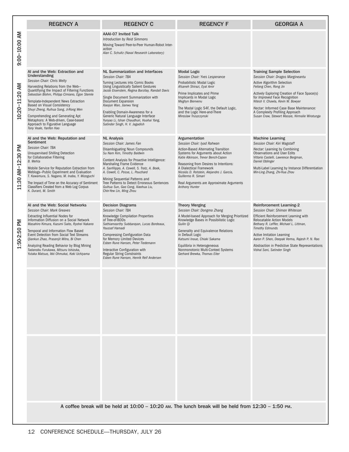|                                                                                                     | <b>REGENCY A</b>                                                                                                                                                                                                                                                                                                                                                                                                                                                               | <b>REGENCY C</b>                                                                                                                                                                                                                                                                                                                                                                                                                                            | <b>REGENCY F</b>                                                                                                                                                                                                                                                                                                                                                                   | <b>GEORGIA A</b>                                                                                                                                                                                                                                                                                                                                                                                  |
|-----------------------------------------------------------------------------------------------------|--------------------------------------------------------------------------------------------------------------------------------------------------------------------------------------------------------------------------------------------------------------------------------------------------------------------------------------------------------------------------------------------------------------------------------------------------------------------------------|-------------------------------------------------------------------------------------------------------------------------------------------------------------------------------------------------------------------------------------------------------------------------------------------------------------------------------------------------------------------------------------------------------------------------------------------------------------|------------------------------------------------------------------------------------------------------------------------------------------------------------------------------------------------------------------------------------------------------------------------------------------------------------------------------------------------------------------------------------|---------------------------------------------------------------------------------------------------------------------------------------------------------------------------------------------------------------------------------------------------------------------------------------------------------------------------------------------------------------------------------------------------|
| 9:00-10:00 AM                                                                                       |                                                                                                                                                                                                                                                                                                                                                                                                                                                                                | <b>AAAI-07 Invited Talk</b><br>Introduction by Reid Simmons<br>Moving Toward Peer-to-Peer Human-Robot Inter-<br>action<br>Alan C. Schultz (Naval Research Laboratory)                                                                                                                                                                                                                                                                                       |                                                                                                                                                                                                                                                                                                                                                                                    |                                                                                                                                                                                                                                                                                                                                                                                                   |
| 10:20-11:20 AM                                                                                      | AI and the Web: Extraction and<br>Understanding<br>Session Chair: Chris Welty<br>Harvesting Relations from the Web-<br>Quantifiying the Impact of Filtering Functions<br>Sebastian Blohm, Philipp Cimiano, Egon Stemle<br>Template-Independent News Extraction<br>Based on Visual Consistency<br>Shuyi Zheng, Ruihua Song, Ji-Rong Wen<br>Comprehending and Generating Apt<br>Metaphors: A Web-driven, Case-based<br>Approach to Figurative Language<br>Tony Veale, Yanfen Hao | NL Summarization and Interfaces<br><b>Session Chair: TBA</b><br>Turning Lectures into Comic Books<br><b>Using Linguistically Salient Gestures</b><br>Jacob Eisenstein, Regina Barzilay, Randall Davis<br>Single Document Summarization with<br><b>Document Expansion</b><br>Xiaojun Wan, Jianwu Yang<br>Enabling Domain-Awareness for a<br>Generic Natural Language Interface<br>Yunyao Li, Ishan Chaudhuri, Huahai Yang,<br>Satinder Singh, H. V. Jagadish | <b>Modal Logic</b><br>Session Chair: Yves Lesperance<br>Probabilistic Modal Logic<br>Afsaneh Shirazi, Eyal Amir<br>Prime Implicates and Prime<br>Implicants in Modal Logic<br>Meghyn Bienvenu<br>The Modal Logic S4F, the Default Logic,<br>and the Logic Here-and-There<br>Miroslaw Truszczynski                                                                                  | <b>Training Sample Selection</b><br>Session Chair: Dragos Margineantu<br><b>Active Algorithm Selection</b><br>Feilong Chen, Rong Jin<br>Actively Exploring Creation of Face Space(s)<br>for <i>Improved</i> Face Recognition<br>Nitesh V. Chawla, Kevin W. Bowyer<br>Nectar: Informed Case Base Maintenance:<br>A Complexity Profiling Approach<br>Susan Craw, Stewart Massie, Nirmalie Wiratunga |
| :30 AM-12:30 PM<br>$\Xi$                                                                            | AI and the Web: Reputation and<br>Sentiment<br>Session Chair: TBA<br><b>Unsupervised Shilling Detection</b><br>for Collaborative Filtering<br><b>B.</b> Mehta<br>Mobile Service for Reputation Extraction from<br>Weblogs-Public Experiment and Evaluation<br>T. Kawamura, S. Nagano, M. Inaba, Y. Mizoguchi<br>The Impact of Time on the Accuracy of Sentiment<br>Classifiers Created from a Web Log Corpus<br>K. Durant, M. Smith                                            | <b>NL Analysis</b><br>Session Chair: James Fan<br><b>Disambiguating Noun Compounds</b><br>Su Nam Kim, Timothy Baldwin<br>Content Analysis for Proactive Intelligence:<br><b>Marshaling Frame Evidence</b><br>A. Sanfilippo, A. Cowell, S. Tratz, A. Boek,<br>A. Cowell, C. Posse, L. Pouchard<br>Mining Sequential Patterns and<br>Tree Patterns to Detect Erroneous Sentences<br>Guihua Sun, Gao Cong, Xiaohua Liu,<br>Chin-Yew Lin, Ming Zhou             | Argumentation<br>Session Chair: Iyad Rahwan<br><b>Action-Based Alternating Transition</b><br>Systems for Arguments about Action<br>Katie Atkinson, Trevor Bench-Capon<br>Reasoning from Desires to Intentions:<br>A Dialectical Framework<br>Nicolás D. Rotstein, Alejandro J. García,<br>Guillermo R. Simari<br>Real Arguments are Approximate Arguments<br><b>Anthony Hunter</b> | <b>Machine Learning</b><br>Session Chair: Kiri Wagstaff<br>Nectar: Learning by Combining<br><b>Observations and User Edits</b><br>Vittorio Castelli, Lawrence Bergman,<br>Daniel Oblinger<br>Multi-Label Learning by Instance Differentiation<br>Min-Ling Zhang, Zhi-Hua Zhou                                                                                                                     |
| ΣÑ<br>1:50-2:50                                                                                     | AI and the Web: Social Networks<br>Session Chair: Mark Greaves<br>Extracting Influential Nodes for<br>Information Diffusion on a Social Network<br>Masahiro Kimura, Kazumi Saito, Ryohei Nakano<br>Temporal and Information Flow Based<br>Event Detection from Social Text Streams<br>Qiankun Zhao, Prasenjit Mitra, Bi Chen<br>Analyzing Reading Behavior by Blog Mining<br>Tadanobu Furukawa, Mitsuru Ishizuka.<br>Yutaka Matsuo, Ikki Ohmukai, Koki Uchiyama                | <b>Decision Diagrams</b><br>Session Chair: TBA<br>Knowledge Compilation Properties<br>of Tree-of-BDDs<br>Sathiamoorthy Subbarayan, Lucas Bordeaux,<br>Youssef Hamadi<br><b>Compressing Configuration Data</b><br>for Memory Limited Devices<br>Esben Rune Hansen, Peter Tiedemann<br>Interactive Configuration with<br><b>Regular String Constraints</b><br>Esben Rune Hansen, Henrik Reif Andersen                                                         | <b>Theory Merging</b><br>Session Chair: Dongmo Zhang<br>A Model-based Approach for Merging Prioritized<br>Knowledge Bases in Possibilistic Logic<br>Guilin Oi<br>Generality and Equivalence Relations<br>in Default Logic<br>Katsumi Inoue, Chiaki Sakama<br>Equilibria in Heterogeneous<br>Nonmonotonic Multi-Context Systems<br>Gerhard Brewka, Thomas Eiter                     | <b>Reinforcement Learning-2</b><br>Session Chair: Shimon Whiteson<br>Efficient Reinforcement Learning with<br><b>Relocatable Action Models</b><br>Bethany R. Leffler, Michael L. Littman,<br><b>Timothy Edmunds</b><br><b>Active Imitation Learning</b><br>Aaron P. Shon, Deepak Verma, Rajesh P. N. Rao<br>Abstraction in Predictive State Representations<br>Vishal Soni, Satinder Singh        |
|                                                                                                     |                                                                                                                                                                                                                                                                                                                                                                                                                                                                                |                                                                                                                                                                                                                                                                                                                                                                                                                                                             |                                                                                                                                                                                                                                                                                                                                                                                    |                                                                                                                                                                                                                                                                                                                                                                                                   |
|                                                                                                     |                                                                                                                                                                                                                                                                                                                                                                                                                                                                                |                                                                                                                                                                                                                                                                                                                                                                                                                                                             |                                                                                                                                                                                                                                                                                                                                                                                    |                                                                                                                                                                                                                                                                                                                                                                                                   |
| A coffee break will be held at 10:00 - 10:20 AM. The lunch break will be held from 12:30 - 1:50 PM. |                                                                                                                                                                                                                                                                                                                                                                                                                                                                                |                                                                                                                                                                                                                                                                                                                                                                                                                                                             |                                                                                                                                                                                                                                                                                                                                                                                    |                                                                                                                                                                                                                                                                                                                                                                                                   |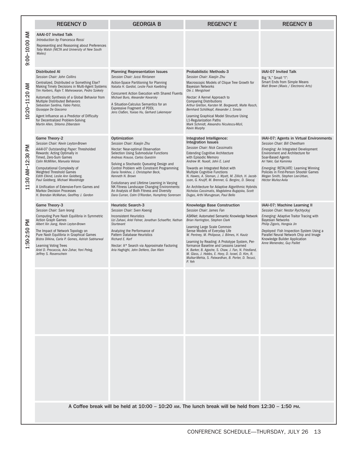|                       | <b>REGENCY D</b>                                                                                                                                                                                                                                                                                                                                                                                                                                                                 | <b>GEORGIA B</b>                                                                                                                                                                                                                                                                                                                                                                                                                                                                                                | <b>REGENCY E</b>                                                                                                                                                                                                                                                                                                                                                                                                                                                                                                                           | <b>REGENCY B</b>                                                                                                                                                                                                                                                                                                                              |
|-----------------------|----------------------------------------------------------------------------------------------------------------------------------------------------------------------------------------------------------------------------------------------------------------------------------------------------------------------------------------------------------------------------------------------------------------------------------------------------------------------------------|-----------------------------------------------------------------------------------------------------------------------------------------------------------------------------------------------------------------------------------------------------------------------------------------------------------------------------------------------------------------------------------------------------------------------------------------------------------------------------------------------------------------|--------------------------------------------------------------------------------------------------------------------------------------------------------------------------------------------------------------------------------------------------------------------------------------------------------------------------------------------------------------------------------------------------------------------------------------------------------------------------------------------------------------------------------------------|-----------------------------------------------------------------------------------------------------------------------------------------------------------------------------------------------------------------------------------------------------------------------------------------------------------------------------------------------|
| 9:00-10:00 AM         | <b>AAAI-07 Invited Talk</b><br>Introduction by Francesca Rossi<br>Representing and Reasoning about Preferences<br>Toby Walsh (NICTA and University of New South<br>Wales)                                                                                                                                                                                                                                                                                                        |                                                                                                                                                                                                                                                                                                                                                                                                                                                                                                                 |                                                                                                                                                                                                                                                                                                                                                                                                                                                                                                                                            |                                                                                                                                                                                                                                                                                                                                               |
| AM<br>$10:20 - 11:20$ | <b>Distributed AI</b><br>Session Chair: John Collins<br>Centralized, Distributed or Something Else?<br>Making Timely Decisions in Multi-Agent Systems<br>Tim Harbers, Rajiv T. Maheswaran, Pedro Szekely<br>Automatic Synthesis of a Global Behavior from<br>Multiple Distributed Behaviors<br>Sebastian Sardina, Fabio Patrizi,<br>Giuseppe De Giacomo<br>Agent Influence as a Predictor of Difficulty<br>for Decentralized Problem-Solving<br>Martin Allen, Shlomo Zilberstein | <b>Planning Representation Issues</b><br>Session Chair: Jussi Rintanen<br>Action-Space Partitioning for Planning<br>Natalia H. Gardiol, Leslie Pack Kaelbling<br><b>Concurrent Action Execution with Shared Fluents</b><br>Michael Buro, Alexander Kovarsky<br>A Situation-Calculus Semantics for an<br><b>Expressive Fragment of PDDL</b><br>Jens Claßen, Yuxiao Hu, Gerhard Lakemeyer                                                                                                                         | Probabilistic Methods-3<br>Session Chair: Xiaoiin Zhu<br>Macroscopic Models of Clique Tree Growth for<br><b>Bayesian Networks</b><br>Ole J. Mengshoel<br>Nectar: A Kernel Approach to<br><b>Comparing Distributions</b><br>Arthur Gretton, Karsten M. Borgwardt, Malte Rasch,<br>Bernhard Schölkopf, Alexander J. Smola<br>Learning Graphical Model Structure Using<br>L1-Regularization Paths<br>Mark Schmidt, Alexandru Niculescu-Mizil,<br>Kevin Murphy                                                                                 | IAAI-07 Invited Talk<br>Big "A," Small "I":<br>Smart Ends from Simple Means<br>Matt Brown (Maxis / Electronic Arts)                                                                                                                                                                                                                           |
| 11:30 AM-12:30 PM     | Game Theory-2<br>Session Chair: Kevin Leyton-Brown<br>AAAI-07 Outstanding Paper: Thresholded<br>Rewards: Acting Optimally in<br>Timed. Zero-Sum Games<br>Colin McMillen, Manuela Veloso<br>Computational Complexity of<br><b>Weighted Threshold Games</b><br>Edith Elkind, Leslie Ann Goldberg,<br>Paul Goldberg, Michael Wooldridge<br>A Unification of Extensive-Form Games and<br><b>Markov Decision Processes</b><br>H. Brendan McMahan, Geoffrey J. Gordon                  | Optimization<br>Session Chair: Xiaojin Zhu<br>Nectar: Near-optimal Observation<br>Selection Using Submodular Functions<br>Andreas Krause, Carlos Guestrin<br>Solving a Stochastic Queueing Design and<br>Control Problem with Constraint Programming<br>Daria Terekhov, J. Christopher Beck,<br>Kenneth N. Brown<br>Evolutionary and Lifetime Learning in Varying<br>NK Fitness Landscape Changing Environments:<br>An Analysis of Both Fitness and Diversity<br>Dara Curran, Colm O'Riordan, Humphrey Sorensen | Integrated Intelligence:<br><b>Integration Issues</b><br>Session Chair: Nick Cassimatis<br><b>Extending Cognitive Architecture</b><br>with Episodic Memory<br>Andrew M. Nuxoll, John E. Laird<br>Towards an Integrated Robot with<br>Multiple Cognitive Functions<br>N. Hawes, A. Sloman, J. Wyatt, M. Zillich, H. Jacob-<br>sson, G. Kruijff, M. Brenner, G. Berginc, D. Skocaj<br>An Architecture for Adaptive Algorithmic Hybrids<br>Nicholas Cassimatis, Magdalena Bugajska, Scott<br>Dugas, Arthi Murugesan, Paul Bello               | IAAI-07: Agents in Virtual Environments<br>Session Chair: Bill Cheetham<br>Emerging: An Integrated Development<br>Environment and Architecture for<br>Soar-Based Agents<br>Ari Yakir, Gal Kaminka<br>Emerging: RETALIATE: Learning Winning<br>Policies in First-Person Shooter Games<br>Megan Smith, Stephen Lee-Urban,<br>Héctor Muñoz-Avila |
| Μd<br>1:50-2:50       | Game Theory-3<br>Session Chair: Sam leong<br>Computing Pure Nash Equilibria in Symmetric<br><b>Action Graph Games</b><br>Albert Xin Jiang, Kevin Leyton-Brown<br>The Impact of Network Topology on<br>Pure Nash Equilibria in Graphical Games<br>Bistra Dilkina, Carla P. Gomes, Ashish Sabharwal<br><b>Learning Voting Trees</b><br>Ariel D. Procaccia, Aviv Zohar, Yoni Peleg,<br>Jeffrey S. Rosenschein                                                                       | <b>Heuristic Search-3</b><br>Session Chair: Sven Koenig<br><b>Inconsistent Heuristics</b><br>Uzi Zahavi, Ariel Felner, Jonathan Schaeffer, Nathan<br><b>Sturtevant</b><br>Analyzing the Performance of<br><b>Pattern Database Heuristics</b><br>Richard E. Korf<br>Nectar: A* Search via Approximate Factoring<br>Aria Haghighi, John DeNero, Dan Klein                                                                                                                                                         | <b>Knowledge Base Construction</b><br>Session Chair: James Fan<br>ASKNet: Automated Semantic Knowledge Network<br>Brian Harrington, Stephen Clark<br>Learning Large Scale Common<br>Sense Models of Everyday Life<br>W. Pentney, M. Philipose, J. Bilmes, H. Kautz<br>Learning by Reading: A Prototype System, Per-<br>formance Baseline and Lessons Learned<br>K. Barker, B. Agashe, S. Chaw, J. Fan, N. Friedland,<br>M. Glass, J. Hobbs, E. Hovy, D. Israel, D. Kim, R.<br>Mulkar-Mehta, S. Patwardhan, B. Porter, D. Tecuci,<br>P. Yeh | IAAI-07: Machine Learning II<br>Session Chair: Nestor Rychtyckyj<br>Emerging: Adaptive Traitor Tracing with<br><b>Bayesian Networks</b><br>Philip Zigoris, Hongxia Jin<br>Deployed: Fish Inspection System Using a<br>Parallel Neural Network Chip and Image<br>Knowledge Builder Application<br>Anne Menendez, Guy Paillet                   |
|                       |                                                                                                                                                                                                                                                                                                                                                                                                                                                                                  |                                                                                                                                                                                                                                                                                                                                                                                                                                                                                                                 |                                                                                                                                                                                                                                                                                                                                                                                                                                                                                                                                            |                                                                                                                                                                                                                                                                                                                                               |
|                       |                                                                                                                                                                                                                                                                                                                                                                                                                                                                                  |                                                                                                                                                                                                                                                                                                                                                                                                                                                                                                                 |                                                                                                                                                                                                                                                                                                                                                                                                                                                                                                                                            |                                                                                                                                                                                                                                                                                                                                               |
|                       | A Coffee break will be held at 10:00 - 10:20 AM. The lunch break will be held from 12:30 - 1:50 PM.                                                                                                                                                                                                                                                                                                                                                                              |                                                                                                                                                                                                                                                                                                                                                                                                                                                                                                                 |                                                                                                                                                                                                                                                                                                                                                                                                                                                                                                                                            |                                                                                                                                                                                                                                                                                                                                               |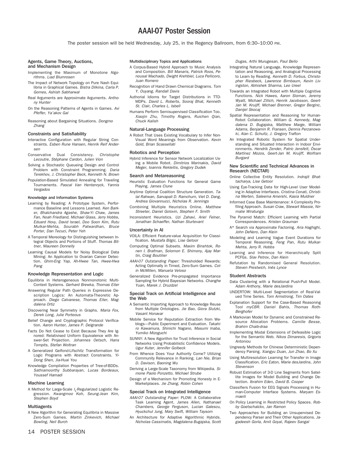## AAAI-07 Poster Session

The poster session will be held Wednesday, July 25, in the Regency Ballroom, from 6:30–10:00 PM.

## Agents, Game Theory, Auctions,

#### and Mechanism Design

- Implementing the Maximum of Monotone Algorithms. Liad Blumrosen
- The Impact of Network Topology on Pure Nash Equilibria in Graphical Games. Bistra Dilkina, Carla P. Gomes, Ashish Sabharwal
- Real Arguments are Approximate Arguments. Anthony Hunter
- On the Reasoning Patterns of Agents in Games. Avi Pfeffer, Ya'akov Gal
- Reasoning about Bargaining Situations. Dongmo Zhang

#### Constraints and Satisfiability

- Interactive Configuration with Regular String Constraints. Esben Rune Hansen, Henrik Reif Andersen
- Conservative Dual Consistency. Christophe Lecoutre, Stéphane Cardon, Julien Vion
- Solving a Stochastic Queueing Design and Control Problem with Constraint Programming. Daria Terekhov, J. Christopher Beck, Kenneth N. Brown
- Population-Based Simulated Annealing for Traveling Tournaments. Pascal Van Hentenryck, Yannis Vergados

#### Knowledge and Information Systems

- Learning by Reading: A Prototype System, Performance Baseline and Lessons Learned. Ken Barker, Bhalchandra Agashe, Shaw-Yi Chaw, James Fan, Noah Friedland, Michael Glass, Jerry Hobbs, Eduard Hovy, David Israel, Doo Soon Kim, Rutu Mulkar-Mehta, Sourabh Patwardhan, Bruce Porter, Dan Tecuci, Peter Yeh
- A Temporal Mereology for Distinguishing between Integral Objects and Portions of Stuff. Thomas Bittner, Maureen Donnelly
- Learning Causal Models for Noisy Biological Data Mining: An Application to Ovarian Cancer Detection. Ghim-Eng Yap, Ah-Hwee Tan, Hwee-Hwa Pang

#### Knowledge Representation and Logic

- Equilibria in Heterogeneous Nonmonotonic Multi-Context Systems. Gerhard Brewka, Thomas Eiter
- Answering Regular Path Queries in Expressive Description Logics: An Automata-Theoretic Approach. Diego Calvanese, Thomas Eiter, Magdalena Ortiz
- Discovering Near Symmetry in Graphs. Maria Fox, Derek Long, Julie Porteous
- Belief Change and Cryptographic Protocol Verification. Aaron Hunter, James P. Delgrande
- Facts Do Not Cease to Exist Because They Are Ignored: Relativised Uniform Equivalence with Answer-Set Projection. Johannes Oetsch, Hans Tompits, Stefan Woltran
- A Generalized Gelfond-Lifschitz Transformation for Logic Programs with Abstract Constraints. Yi-Dong Shen, Jia-Huai You
- Knowledge Compilation Properties of Tree-of-BDDs. Sathiamoorthy Subbarayan, Lucas Bordeaux, Youssef Hamadi

#### Machine Learning

A Method for Large-Scale I<sub>1</sub>-Regularized Logistic Regression. Kwangmoo Koh, Seung-Jean Kim, Stephen Boyd

#### Multiagents

A New Algorithm for Generating Equilibria in Massive Zero-Sum Games. Martin Zinkevich, Michael Bowling, Neil Burch

#### Multidisciplinary Topics and Applications

- A Corpus-Based Hybrid Approach to Music Analysis and Composition. Bill Manaris, Patrick Roos, Penousal Machado, Dwight Krehbiel, Luca Pellicoro, Juan Romero
- Recognition of Hand Drawn Chemical Diagrams. Tom Y. Ouyang, Randall Davis
- Authorial Idioms for Target Distributions in TTD-MDPs. David L. Roberts, Sooraj Bhat, Kenneth St. Clair, Charles L. Isbell
- Humans Perform Semisupervised Classification Too. Xiaojin Zhu, Timothy Rogers, Ruichen Qian, Chuck Kalish

#### Natural-Language Processing

A Robot That Uses Existing Vocabulary to Infer Non-Visual Word Meanings from Observation. Kevin Gold, Brian Scassellati

#### Robotics and Perception

Hybrid Inference for Sensor Network Localization Using a Mobile Robot. Dimitrios Marinakis, David Meger, Ioannis Rekleitis, Gregory Dudek

#### Search and Metareasoning

- Heuristic Evaluation Functions for General Game Playing. James Clune
- Anytime Optimal Coalition Structure Generation. Talal Rahwan, Sarvapali D. Ramchurn, Viet D. Dang, Andrea Giovannucci, Nicholas R. Jennings
- Combining Multiple Heuristics Online. Matthew Streeter, Daniel Golovin, Stephen F. Smith
- Inconsistent Heuristics. Uzi Zahavi, Ariel Felner, Jonathan Schaeffer, Nathan Sturtevant

#### Uncertainty in AI

- VOILA: Efficient Feature-value Acquisition for Classification. Mustafa Bilgic, Lise Getoor
- Computing Optimal Subsets. Maxim Binshtok, Ronen I. Brafman, Solomon E. Shimony, Ajay Martin, Craig Boutilier
- AAAI-07 Outstanding Paper: Thresholded Rewards: Acting Optimally in Timed, Zero-Sum Games. Colin McMillen, Manuela Veloso
- Generalized Evidence Pre-propagated Importance Sampling for Hybrid Bayesian Networks. Changhe Yuan, Marek J. Druzdzel

#### Special Track on Artificial Intelligence and the Web

- A Semantic Importing Approach to Knowledge Reuse from Multiple Ontologies. Jie Bao, Giora Slutzki, Vasant Honavar
- Mobile Service for Reputation Extraction from Weblogs—Public Experiment and Evaluation. Takahiro Kawamura, Shinichi Nagano, Masumi Inaba, Yumiko Mizoguchi
- SUNNY: A New Algorithm for Trust Inference in Social Networks Using Probabilistic Confidence Models. Ugur Kuter, Jennifer Golbeck
- From Whence Does Your Authority Come? Utilizing Community Relevance in Ranking. Lan Nie, Brian D. Davison, Baoning Wu
- Deriving a Large-Scale Taxonomy from Wikipedia. Simone Paolo Ponzetto, Michael Strube
- Design of a Mechanism for Promoting Honesty in E-Marketplaces. Jie Zhang, Robin Cohen

#### Special Track on Integrated Intelligence

- AAAI-07 Outstanding Paper: PLOW: A Collaborative Task Learning Agent. James Allen, Nathanael Chambers, George Ferguson, Lucian Galescu, Hyuckchul Jung, Mary Swift, William Taysom
- An Architecture for Adaptive Algorithmic Hybrids. Nicholas Cassimatis, Magdalena Bugajska, Scott

Dugas, Arthi Murugesan, Paul Bello

- Integrating Natural Language, Knowledge Representation and Reasoning, and Analogical Processing to Learn by Reading. Kenneth D. Forbus, Christopher Riesbeck, Lawrence Birnbaum, Kevin Livingston, Abhishek Sharma, Leo Ureel
- Towards an Integrated Robot with Multiple Cognitive Functions. Nick Hawes, Aaron Sloman, Jeremy Wyatt, Michael Zillich, Henrik Jacobsson, Geert-Jan M. Kruijff, Michael Brenner, Gregor Berginc, Danijel Skocaj
- Spatial Representation and Reasoning for Human-Robot Collaboration. William G. Kennedy, Magdalena D. Bugajska, Matthew Marge, William Adams, Benjamin R. Fransen, Dennis Perzanowski, Alan C. Schultz, J. Gregory Trafton
- An Integrated Robotic System for Spatial Understanding and Situated Interaction in Indoor Environments. Hendrik Zender, Patric Jensfelt, Óscar Martínez Mozos, Geert-Jan M. Kruijff, Wolfram Burgard

#### New Scientific and Technical Advances in Research (NECTAR)

- Online Collective Entity Resolution. Indrajit Bhattacharya, Lise Getoor
- Using Eye-Tracking Data for High-Level User Modeling in Adaptive Interfaces. Cristina Conati, Christina Merten, Saleema Amershi, Kasia Muldner
- Informed Case Base Maintenance: A Complexity Profiling Approach. Susan Craw, Stewart Massie, Nirmalie Wiratunga
- The Pyramid Match: Efficient Learning with Partial Correspondences. Kristen Grauman
- A\* Search via Approximate Factoring. Aria Haghighi, John DeNero, Dan Klein
- Modeling and Learning Vague Event Durations for Temporal Reasoning. Feng Pan, Rutu Mulkar-Mehta, Jerry R. Hobbs
- Learning and Inference for Hierarchically Split PCFGs. Slav Petrov, Dan Klein
- Refutation by Randomised General Resolution. Steven Prestwich, Inês Lynce

#### Student Abstracts

- Data Clustering with a Relational Push-Pull Model. Adam Anthony, Marie desJardins
- UNDERTOW: Multi-Level Segmentation of Real-Valued Time Series. Tom Armstrong, Tim Oates
- Explanation Support for the Case-Based Reasoning Tool myCBR. Daniel Bahls, Thomas Roth-Berghofer
- A Markovian Model for Dynamic and Constrained Resource Allocation Problems. Camille Besse, Brahim Chaib-draa
- Implementing Modal Extensions of Defeasible Logic for the Semantic Web. Nikos Dimaresis, Grigoris Antoniou
- Ungreedy Methods for Chinese Deterministic Dependency Parsing. Xiangyu Duan, Jun Zhao, Bo Xu
- Using Multiresolution Learning for Transfer in Image Classification. Eric Eaton, Marie desJardins, John Stevenson
- Robust Estimation of 3-D Line Segments from Satellite Images for Model Building and Change Detection. Ibrahim Eden, David B. Cooper
- Classifiers Fusion for EEG Signals Processing in Human-Computer Interface Systems. Marvam Esmaeili
- On Policy Learning in Restricted Policy Spaces. Robby Goetschalckx, Jan Ramon
- Two Approaches for Building an Unsupervised Dependency Parser and Their Other Applications. Jagadeesh Gorla, Amit Goyal, Rajeev Sangal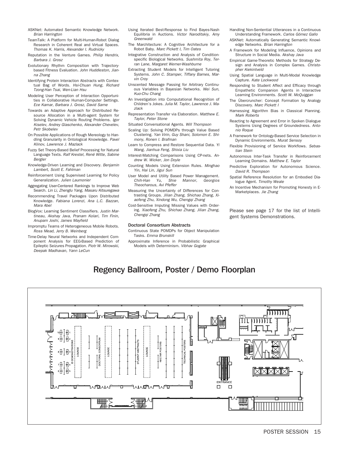- ASKNet: Automated Semantic Knowledge Network. Brian Harrington
- TeamTalk: A Platform for Multi-Human-Robot Dialog Research in Coherent Real and Virtual Spaces. Thomas K. Harris, Alexander I. Rudnicky
- Reputation in the Venture Games. Philip Hendrix, Barbara J. Grosz
- Evolutionary Rhythm Composition with Trajectorybased Fitness Evaluation. John Huddleston, Jianna Zhang
- Identifying Protein Interaction Abstracts with Contextual Bag of Words. Hsi-Chuan Hung, Richard Tzong-Han Tsai, Wen-Lian Hsu
- Modeling User Perception of Interaction Opportunities in Collaborative Human-Computer Settings. Ece Kamar, Barbara J. Grosz, David Sarne
- Towards an Adaptive Approach for Distributed Resource Allocation in a Multi-agent System for Solving Dynamic Vehicle Routing Problems. Igor Kiselev, Andrey Glaschenko, Alexander Chevelev, Petr Skobelev
- On Possible Applications of Rough Mereology to Handling Granularity in Ontological Knowledge. Pavel Klinov, Lawrence J. Mazlack
- Fuzzy Set Theory-Based Belief Processing for Natural Language Texts. Ralf Krestel, René Witte, Sabine Bergler
- Knowledge-Driven Learning and Discovery. Benjamin Lambert, Scott E. Fahlman
- Reinforcement Using Supervised Learning for Policy Generalization. Julien Laumonier
- Aggregating User-Centered Rankings to Improve Web Search. Lin Li, Zhenglu Yang, Masaru Kitsuregawa
- Recommending Travel Packages Upon Distributed Knowledge. Fabiana Lorenzi, Ana L.C. Bazzan, Mara Abel
- BlogVox: Learning Sentiment Classifiers. Justin Martineau, Akshay Java, Pranam Kolari, Tim Finin, Anupam Joshi, James Mayfield
- Impromptu Teams of Heterogeneous Mobile Robots. Ross Mead, Jerry B. Weinberg
- Time-Delay Neural Networks and Independent Component Analysis for EEG-Based Prediction of Epileptic Seizures Propagation. Piotr W. Mirowski, Deepak Madhavan, Yann LeCun
- Using Iterated Best-Response to Find Bayes-Nash Equilibria in Auctions. Victor Naroditskiy, Amy Greenwald
- The Marchitecture: A Cognitive Architecture for a Robot Baby. Marc Pickett I, Tim Oates
- Integrative Construction and Analysis of Conditionspecific Biological Networks. Sushmita Roy, Terran Lane, Margaret Werner-Washburne
- Extracting Student Models for Intelligent Tutoring Systems. John C. Stamper, Tiffany Barnes, Marvin Croy
- Unscented Message Passing for Arbitrary Continuous Variables in Bayesian Networks. Wei Sun, Kuo-Chu Chang
- An Investigation into Computational Recognition of Children's Jokes. Julia M. Taylor, Lawrence J. Mazlack
- Representation Transfer via Elaboration. Matthew E. Taylor, Peter Stone
- Situated Conversational Agents. Will Thompson
- Scaling Up: Solving POMDPs through Value Based Clustering. Yan Virin, Guy Shani, Solomon E. Shimony, Ronen I. Brafman
- Learn to Compress and Restore Sequential Data. Yi Wang, Jianhua Feng, Shixia Liu
- Interest-Matching Comparisons Using CP-nets. Andrew W. Wicker, Jon Doyle
- Counting Models Using Extension Rules. Minghao Yin, Hai Lin, Jigui Sun
- User Model and Utility Based Power Management.<br>Chih-Han Yu, Shie Mannor, Georgios Chih-Han Yu, Shie Mannor, Georgios Theocharous, Avi Pfeffer
- Measuring the Uncertainty of Differences for Contrasting Groups. Jilian Zhang, Shichao Zhang, Xiaofeng Zhu, Xindong Wu, Chengqi Zhang
- Cost-Sensitive Imputing Missing Values with Ordering. Xiaofeng Zhu, Shichao Zhang, Jilian Zhang, Chengqi Zhang

#### Doctoral Consortium Abstracts

- Continuous State POMDPs for Object Manipulation Tasks. Emma Brunskill
- Approximate Inference in Probabilistic Graphical Models with Determinism. Vibhav Gogate
- Handling Non-Sentential Utterances in a Continuous Understanding Framework. Carlos Gómez Gallo
- ASKNet: Automatically Generating Semantic Knowledge Networks. Brian Harrington
- A Framework for Modeling Influence, Opinions and Structure in Social Media. Akshay Java
- Empirical Game-Theoretic Methods for Strategy Design and Analysis in Complex Games. Christopher Kiekintveld
- Using Spatial Language in Multi-Modal Knowledge Capture. Kate Lockwood
- Responding to Student Affect and Efficacy through Empathetic Companion Agents in Interactive Learning Environments. Scott W. McQuiggan
- The Übercruncher: Concept Formation by Analogy Discovery. Marc Pickett I
- Harnessing Algorithm Bias in Classical Planning. Mark Roberts
- Reacting to Agreement and Error in Spoken Dialogue Systems Using Degrees of Groundedness. Antonio Roque
- A Framework for Ontology-Based Service Selection in Dynamic Environments. Murat Sensoy
- Flexible Provisioning of Service Workflows. Sebastian Stein
- Autonomous Inter-Task Transfer in Reinforcement Learning Domains. Matthew E. Taylor
- Predictive Exploration for Autonomous Science. David R. Thompson
- Spatial Reference Resolution for an Embodied Dialogue Agent. Timothy Weale
- An Incentive Mechanism for Promoting Honesty in E-Marketplaces. Jie Zhang

Please see page 17 for the list of Intelligent Systems Demonstrations.

## Regency Ballroom, Poster / Demo Floorplan

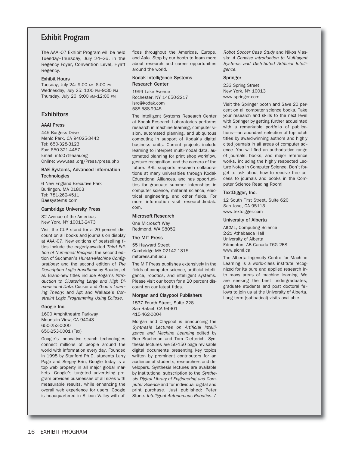## Exhibit Program

The AAAI-07 Exhibit Program will be held Tuesday–Thursday, July 24–26, in the Regency Foyer, Convention Level, Hyatt Regency.

#### Exhibit Hours

Tuesday, July 24: 9:00 AM–6:00 PM Wednesday, July 25: 1:00 PM–9:30 PM Thursday, July 26: 9:00 AM–12:00 PM

#### **Exhibitors**

#### AAAI Press

445 Burgess Drive Menlo Park, CA 94025-3442 Tel: 650-328-3123 Fax: 650-321-4457 Email: info07@aaai.org Online: www.aaai.org/Press/press.php

#### BAE Systems, Advanced Information **Technologies**

6 New England Executive Park Burlingon, MA 01803 Tel: 781-262-4511 Baesystems.com

#### Cambridge University Press

32 Avenue of the Americas New York, NY 10013-2473

Visit the CUP stand for a 20 percent discount on all books and journals on display at AAAI-07. New editions of bestselling titles include the eagerly-awaited Third Edition of Numerical Recipes; the second edition of Suchman's Human-Machine Configurations; and the second edition of The Description Logic Handbook by Baader, et al. Brand-new titles include Kogan's Introduction to Clustering Large and High Dimensional Data; Cucker and Zhou's Learning Theory; and Apt and Wallace's Constraint Logic Programming Using Eclipse.

#### Google Inc.

1600 Amphitheatre Parkway Mountain View, CA 94043 650-253-0000 650-253-0001 (Fax)

Google's innovative search technologies connect millions of people around the world with information every day. Founded in 1998 by Stanford Ph.D. students Larry Page and Sergey Brin, Google today is a top web property in all major global markets. Google's targeted advertising program provides businesses of all sizes with measurable results, while enhancing the overall web experience for users. Google is headquartered in Silicon Valley with offices throughout the Americas, Europe, and Asia. Stop by our booth to learn more about research and career opportunities around the world.

#### Kodak Intelligence Systems Research Center

1999 Lake Avenue Rochester, NY 14650-2217 isrc@kodak.com 585-588-9945

The Intelligent Systems Research Center at Kodak Research Laboratories performs research in machine learning, computer vision, automated planning, and ubiquitous computing in support of Kodak's digital business units. Current projects include learning to interpret multi-modal data, automated planning for print shop workflow, gesture recognition, and the camera of the future. KRL supports research collaborations at many universities through Kodak Educational Alliances, and has opportunities for graduate summer internships in computer science, material science, electrical engineering, and other fields. For more information visit research.kodak. com.

#### Microsoft Research

One Microsoft Way Redmond, WA 98052

#### The MIT Press

55 Hayward Street Cambridge MA 02142-1315 mitpress.mit.edu

The MIT Press publishes extensively in the fields of computer science, artificial intelligence, robotics, and intelligent systems. Please visit our booth for a 20 percent discount on our latest titles.

#### Morgan and Claypool Publishers

1537 Fourth Street, Suite 228 San Rafael, CA 94901 415-462-0004

Morgan and Claypool is announcing the Synthesis Lectures on Artificial Intelligence and Machine Learning edited by Ron Brachman and Tom Dietterich. Synthesis lectures are 50-150 page revisable digital documents presenting key topics written by prominent contributors for an audience of students, researchers and developers. Synthesis lectures are available by institutional subscription to the Synthesis Digital Library of Engineering and Computer Science and for individual digital and print purchase. Just published: Peter Stone: Intelligent Autonomous Robotics: A Robot Soccer Case Study and Nikos Vlassis: A Concise Introduction to Multiagent Systems and Distributed Artificial Intelligence.

#### Springer

233 Spring Street New York, NY 10013 www.springer.com

Visit the Springer booth and Save 20 percent on all computer science books. Take your research and skills to the next level with Springer by getting further acquainted with a remarkable portfolio of publications—an abundant selection of top-notch titles by award-winning authors and highly cited journals in all areas of computer science. You will find an authoritative range of journals, books, and major reference works, including the highly respected Lecture Notes in Computer Science. Don't forget to ask about how to receive free access to journals and books in the Computer Science Reading Room!

#### TextDigger, Inc.

12 South First Street, Suite 620 San Jose, CA 95113 www.textdigger.com

#### University of Alberta

AICML, Computing Science 2-21 Athabasca Hall University of Alberta Edmonton, AB Canada T6G 2E8 www.aicml.ca

The Alberta Ingenuity Centre for Machine Learning is a world-class institute recognized for its pure and applied research into many areas of machine learning. We are seeking the best undergraduates, graduate students and post doctoral fellows to join us at the University of Alberta. Long term (sabbatical) visits available.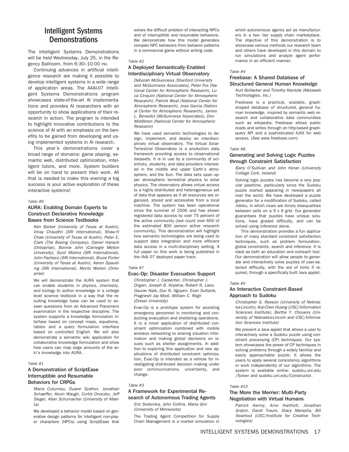## Intelligent Systems **Demonstrations**

The Intelligent Systems Demonstrations will be held Wednesday, July 25, in the Regency Ballroom, from 6:30–10:00 PM.

Continuing advances in artificial intelligence research are making it possible to develop intelligent systems in a wide range of application areas. The AAAI-07 Intelligent Systems Demonstrations program showcases state-of-the-art AI implementations and provides AI researchers with an opportunity to show applications of their research in action. The program is intended to highlight innovative contributions to the science of AI with an emphasis on the benefits to be gained from developing and using implemented systems in AI research.

This year's demonstrations cover a broad range of domains: game playing, semantic web, distributed optimization, intelligent tutors, and more. System builders will be on hand to present their work. All that is needed to make this evening a big success is your active exploration of these interactive systems!

#### Table #6

#### AURA: Enabling Domain Experts to Construct Declarative Knowledge Bases from Science Textbooks

Ken Barker (University of Texas at Austin), Vinay Chaudhri (SRI International), Shaw-Yi Chaw (University of Texas at Austin), Peter E. Clark (The Boeing Company), Daniel Hansch (Ontoprise), Bonnie John (Carnegie Mellon University), Sunil Mishra (SRI International), John Pacheco (SRI International), Bruce Porter (University of Texas at Austin), Aaron Spaulding (SRI International), Moritz Weiten (Ontoprise)

We will demonstrate the AURA system that can enable students in physics, chemistry, and biology to author knowledge in a college level science textbook in a way that the resulting knowledge base can be used to answer questions from an Advanced Placement examination in the respective discipline. The system supports a knowledge formulation interface based on concept maps, equations, tables and a query formulation interface based on controlled English. We will also demonstrate a semantic wiki application for collaborative knowledge formulation and show how users can map large amounts of the wiki's knowledge into AURA.

#### Table #1

#### A Demonstration of ScriptEase Interruptible and Resumable Behaviors for CRPGs

Maria Cutumisu, Duane Szafron, Jonathan Schaeffer, Kevin Waugh, Curtis Onuczko, Jeff Siegel, Allan Schumacher (University of Alberta)

We developed a behavior model based on generative design patterns for intelligent non-player characters (NPCs) using ScriptEase that solves the difficult problem of interacting NPCs and of interruptible and resumable behaviors. We demonstrate how this model generates complex NPC behaviors from behavior patterns in a commercial game without writing code.

#### Table #2

#### A Deployed Semantically-Enabled Interdisciplinary Virtual Observatory

Deborah McGuinness (Stanford University and McGuinness Associates), Peter Fox (National Center for Atmospheric Research), Luca Cinquini (National Center for Atmospheric Research), Patrick West (National Center for Atmospheric Research), Jose Garcia (National Center for Atmospheric Research), James L. Benedict (McGuinness Associates), Don Middleton (National Center for Atmospheric Research)

We have used semantic technologies to design, implement, and deploy an interdisciplinary virtual observatory. The Virtual Solar-Terrestrial Observatory is a production data framework providing access to observational datasets. It is in use by a community of scientists, students, and data providers interested in the middle and upper Earth's atmosphere, and the Sun. The data sets span upper atmospheric terrestrial physics to solar physics. The observatory allows virtual access to a highly distributed and heterogeneous set of data that appears as if all resources are organized, stored and accessible from a local machine. The system has been operational since the summer of 2006 and has shown registered data access by over 75 percent of the active community (last count over 600 of the estimated 800 person active research community). This demonstration will highlight how semantic technologies are being used to support data integration and more efficient data access in a multi-disciplinary setting. A full paper on this work is being published in the IAAI 07 deployed paper track.

#### Table #7

#### Evac-Op: Disaster Evacuation Support

Christopher J. Carpenter, Christopher J. Dugan, Joseph B. Kopena, Robert N. Lass, Gaurav Naik, Duc N. Nguyen, Evan Sultanik, Pragnesh Jay Modi, William C. Regli (Drexel University)

Evac-Op is a prototype system for assisting emergency personnel in monitoring and conducting evacuation and sheltering operations. It is a novel application of distributed constraint optimization combined with mobile wireless networking to sharing situation information and making global decisions on issues such as shelter assignments. In addition to exploring this application and new applications of distributed constraint optimization, Evac-Op is intended as a vehicle for investigating distributed decision making under poor communications, uncertainty, and change.

#### Table #3

#### A Framework for Experimental Research of Autonomous Trading Agents

Eric Sodomka, John Collins, Maria Gini (University of Minnesota)

The Trading Agent Competition for Supply Chain Management is a market simulation in

which autonomous agents act as manufacturers in a two- tier supply chain marketplace. The objective of this demonstration is to showcase various methods our research team and others have developed in this domain to run simulations and analyze agent performance in an efficient manner.

#### Table #4

#### Freebase: A Shared Database of Structured General Human Knowledge

Kurt Bollacker and Timothy Kientzle (Metaweb Technologies, Inc.)

Freebase is a practical, scalable, graphshaped database of structured, general human knowledge, inspired by semantic web research and collaborative data communities such as wikipedia. Freebase allows public reads and writes through an http-based graphquery API and a sophisticated AJAX for web access. (See www.freebase.com)

#### Table #8

#### Generating and Solving Logic Puzzles through Constraint Satisfaction

Barry O'Sullivan and John Horan (University College Cork, Ireland)

Solving logic puzzles has become a very popular pasttime, particularly since the Sudoku puzzle started appearing in newspapers all over the world. We have developed a puzzle generator for a modification of Sudoku, called Jidoku, in which clues are binary disequalities between cells on a 9 x 9 grid. Our generator guarantees that puzzles have unique solutions, have graded difficulty, and can be solved using inference alone.

This demonstration provides a fun application of many standard constraint satisfaction techniques, such as problem formulation, global constraints, search and inference. It is ideal as both an education and outreach tool. Our demonstration will allow people to generate and interactively solve puzzles of user-selected difficulty, with the aid of hints if required, through a specifically built Java applet.

#### Table #5

#### An Interactive Constraint-Based Approach to Sudoku

Christopher G. Reeson (University of Nebraska-Lincoln), Kai-Chen Huang (USC/Information Sciences Institute), Berthe Y. Choueiry (University of Nebraska-Lincoln and USC/Information Sciences Institute)

We present a Java applet that allows a user to interactively solve a Sudoku puzzle using constraint processing (CP) techniques. Our system showcases the power of CP techniques in solving problems through a widely familiar and easily approachable puzzle. It allows the users to apply several consistency algorithms or work independently of our algorithms. The system is available online: sudoku.unl.edu /Solver and sudoku.unl.edu/Constructor.

#### Table #10

#### The More the Merrier: Multi-Party Negotiation with Virtual Humans

Patrick Kenny, Arno Hartholt, Jonathan Gratch, David Traum, Stacy Marsella, Bill Swartout (USC/Institute for Creative Technologies)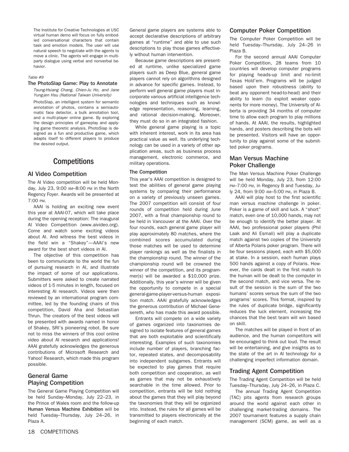The Institute for Creative Technologies at USC virtual human demo will focus on fully embodied conversational characters that contain task and emotion models. The user will use natural speech to negotiate with the agents to move a clinic. The agents will engage in multiparty dialogue using verbal and nonverbal behavior.

#### Table #9

#### The PhotoSlap Game: Play to Annotate

Tsung-Hsiang Chang, Chien-Ju Ho, and Jane Yung-jen Hsu (National Taiwan University)

PhotoSlap, an intelligent system for semantic annotation of photos, contains a semiautomatic face detector, a bulk annotation tool, and a multi-player online game. By exploring the design principles of gameplay and applying game theoretic analysis, PhotoSlap is designed as a fun and productive game, which adapts itself to different players to produce the desired output.

## **Competitions**

#### AI Video Competition

The AI Video competition will be held Monday, July 23, 9:00 AM–8:00 PM in the North Regency Foyer. Awards will be presented at 7:00 PM.

AAAI is holding an exciting new event this year at AAAI-07, which will take place during the opening reception: The inaugural AI Video Competition (www.aivideo.org). Come and watch some exciting videos about AI. And witness the best videos in the field win a "Shakey"—AAAI's new award for the best short videos in AI.

The objective of this competition has been to communicate to the world the fun of pursuing research in AI, and illustrate the impact of some of our applications. Submitters were asked to create narrated videos of 1-5 minutes in length, focused on interesting AI research. Videos were then reviewed by an international program committee, led by the founding chairs of this competition, David Aha and Sebastian Thrun. The creators of the best videos will be presented with awards named in honor of Shakey, SRI's pioneering robot. Be sure not to miss the winners of this cool online video about AI research and applications! AAAI gratefully acknowledges the generous contributions of Microsoft Research and Yahoo! Research, which made this program possible.

## General Game Playing Competition

The General Game Playing Competition will be held Sunday–Monday, July 22–23, in the Prince of Wales room and the follow-up Human Versus Machine Exhibition will be held Tuesday–Thursday, July 24–26, in Plaza A.

General game players are systems able to accept declarative descriptions of arbitrary games at "runtime" and able to use such descriptions to play those games effectively without human intervention.

Because game descriptions are presented at runtime, unlike specialized game players such as Deep Blue, general game players cannot rely on algorithms designed in advance for specific games. Instead, to perform well general game players must incorporate various artificial intelligence technologies and techniques such as knowledge representation, reasoning, learning, and rational decision-making. Moreover, they must do so in an integrated fashion.

While general game playing is a topic with inherent interest, work in its area has practical value as well. Its underlying technology can be used in a variety of other application areas, such as business process management, electronic commerce, and military operations.

#### The Competition

This year's AAAI competition is designed to test the abilities of general game playing systems by comparing their performance on a variety of previously unseen games. The 2007 competition will consist of four rounds of competition held during June 2007, with a final championship round to be held in Vancouver at the AAAI. Over the four rounds, each general game player will play approximately 80 matches, where the combined scores accumulated during those matches will be used to determine player rankings as well as the finalists in the championship round. The winner of the championship round will be crowned the winner of the competition, and its programmer(s) will be awarded a \$10,000 prize. Additionally, this year's winner will be given the opportunity to compete in a special general-game-player-versus-human exposition match. AAAI gratefully acknowledges the generous contribution of Michael Genesereth, who has made this award possible.

Entrants will compete on a wide variety of games organized into taxonomies designed to isolate features of general games that are both exploitable and scientifically interesting. Examples of such taxonomies include number of players, branching factor, repeated states, and decomposability into independent subgames. Entrants will be expected to play games that require both competition and cooperation, as well as games that may not be exhaustively searchable in the time allowed. Prior to competition, entrants will be told nothing about the games that they will play beyond the taxonomies that they will be organized into. Instead, the rules for all games will be transmitted to players electronically at the beginning of each match.

#### Computer Poker Competition

The Computer Poker Competition will be held Tuesday–Thursday, July 24–26 in Plaza B.

For the second annual AAAI Computer Poker Competition, 28 teams from 10 countries will develop computer programs for playing heads-up limit and no-limit Texas Hold'em. Programs will be judged based upon their robustness (ability to beat any opponent head-to-head) and their ability to learn (to exploit weaker opponents for more money). The University of Alberta is providing 34 months of computer time to allow each program to play millions of hands. At AAAI, the results, highlighted hands, and posters describing the bots will be presented. Visitors will have an opportunity to play against some of the submitted poker programs.

#### Man Versus Machine Poker Challenge

The Man Versus Machine Poker Challenge will be held Monday, July 23, from 12:00 PM-7:00 PM, in Regency B and Tuesday, July 24, from 9:00 AM–5:00 PM, in Plaza B.

AAAI will play host to the first scientific man versus machine challenge in poker. Poker is a game of skill and luck. A "short" match, even one of 10,000 hands, may not be enough to identify the better player. At AAAI, two professional poker players (Phil Laak and Ali Esmali) will play a duplicate match against two copies of the University of Alberta Polaris poker program. There will be four sessions played, each with \$5,000 at stake. In a session, each human plays 500 hands against a copy of Polaris. However, the cards dealt in the first match to the human will be dealt to the computer in the second match, and vice versa. The result of the session is the sum of the two humans' scores versus the sum of the two programs' scores. This format, inspired by the rules of duplicate bridge, significantly reduces the luck element, increasing the chances that the best team will win based on skill.

The matches will be played in front of an audience, and the human competitors will be encouraged to think out loud. The result will be entertaining, and give insights as to the state of the art in AI technology for a challenging imperfect information domain.

#### Trading Agent Competition

The Trading Agent Competition will be held Tuesday–Thursday, July 24–26, in Plaza C.

The annual Trading Agent Competition (TAC) pits agents from research groups around the world against each other in challenging market-trading domains. The 2007 tournament features a supply chain management (SCM) game, as well as a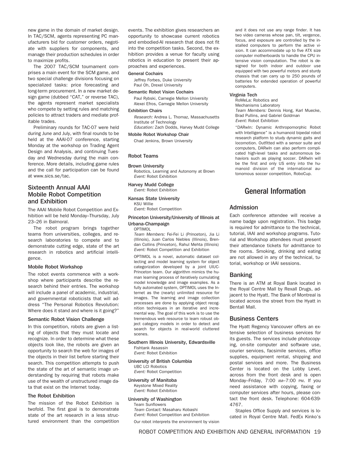new game in the domain of market design. In TAC/SCM, agents representing PC manufacturers bid for customer orders, negotiate with suppliers for components, and manage their production schedules in order to maximize profits.

The 2007 TAC/SCM tournament comprises a main event for the SCM game, and two special challenge divisions focusing on specialized tasks: price forecasting and long-term procurement. In a new market design game (dubbed "CAT," or reverse TAC), the agents represent market specialists who compete by setting rules and matching policies to attract traders and mediate profitable trades.

Preliminary rounds for TAC-07 were held during June and July, with final rounds to be held at the AAAI-07 conference, starting Monday at the workshop on Trading Agent Design and Analysis, and continuing Tuesday and Wednesday during the main conference. More details, including game rules and the call for participation can be found at www.sics.se/tac.

## Sixteenth Annual AAAI Mobile Robot Competition and Exhibition

The AAAI Mobile Robot Competition and Exhibition will be held Monday–Thursday, July 23–26 in Balmoral.

The robot program brings together teams from universities, colleges, and research laboratories to compete and to demonstrate cutting edge, state of the art research in robotics and artificial intelligence.

#### Mobile Robot Workshop

The robot events commence with a workshop where participants describe the research behind their entries. The workshop will include a panel of academic, industrial, and governmental roboticists that will address "The Personal Robotics Revolution: Where does it stand and where is it going?"

#### Semantic Robot Vision Challenge

In this competition, robots are given a listing of objects that they must locate and recognize. In order to determine what these objects look like, the robots are given an opportunity to search the web for images of the objects in their list before starting their search. This competition attempts to push the state of the art of semantic image understanding by requiring that robots make use of the wealth of unstructured image data that exist on the Internet today.

#### The Robot Exhibition

The mission of the Robot Exhibition is twofold. The first goal is to demonstrate state of the art research in a less structured environment than the competition events. The exhibition gives researchers an opportunity to showcase current robotics and embodied-AI research that does not fit into the competition tasks. Second, the exhibition provides a venue for faculty using robotics in education to present their approaches and experiences.

#### General Cochairs

Jeffrey Forbes, Duke University Paul Oh, Drexel University

#### Semantic Robot Vision Cochairs

Paul Rybski, Carnegie Mellon University Alexei Efros, Carnegie Mellon University

#### Exhibition Chairs

Research: Andrea L. Thomaz, Massachusetts Institute of Technology

Education: Zach Dodds, Harvey Mudd College

## Mobile Robot Workshop Chair

Chad Jenkins, Brown University

#### Robot Teams

#### Brown University

Robotics, Learning and Autonomy at Brown Event: Robot Exhibition

Harvey Mudd College Event: Robot Exhibition

#### Kansas State University

KSU Willie Event: Robot Competition

#### Princeton University/University of Illinois at Urbana-Champaign

#### OPTIMOL

Team Members: Fei-Fei Li (Princeton), Jia Li (Illinois), Juan Carlos Niebles (Illinois), Brendan Collins (Princeton), Rahul Mehta (Illinois) Event: Robot Competition and Exhibition

OPTIMOL is a novel, automatic dataset collecting and model learning system for object categorization developed by a joint UIUC-Princeton team. Our algorithm mimics the human learning process of iteratively cumulating model knowledge and image examples. As a fully automated system, OPTIMOL uses the Internet as the (nearly) unlimited resource for images. The learning and image collection processes are done by applying object recognition techniques in an iterative and incremental way. The goal of this work is to use the tremendous web resource to learn robust object category models in order to detect and search for objects in real-world cluttered scenes.

#### Southern Illinois University, Edwardsville Fishtank Assassin

Event: Robot Exhibition

#### University of British Columbia

UBC LCI Robotics Event: Robot Competition

## University of Manitoba

Keystone Mixed Reality Event: Robot Exhibition

#### University of Washington

Team Sunflowers Team Contact: Masaharu Kobashi Event: Robot Competition and Exhibition Our robot interprets the environment by vision

and it does not use any range finder. It has two video cameras whose pan, tilt, vergence, focus, and exposure are controlled by the installed computers to perform the active vision. It can accommodate un to five ATX size computer motherboards to handle the CPU intensive vision computation. The robot is designed for both indoor and outdoor use equipped with two powerful motors and sturdy chassis that can carry up to 250 pounds of batteries for extended operation of powerful computers.

#### Virginia Tech

RoMeLa: Robotics and Mechanisms Laboratory Team Members: Dennis Hong, Karl Muecke, Brad Pullins, and Gabriel Goldman Event: Robot Exhibition

"DARwIn: Dynamic Anthropomorphic Robot with Intelligence" is a humanoid bipedal robot research platform to study dynamic gaits and locomotion. Outfitted with a sensor suite and computers, DARwIn can also perform complicated high-level tasks and autonomous behaviors such as playing soccer. DARwIn will be the first and only US entry into the humanoid division of the international autonomous soccer competition, RoboCup.

## General Information

#### Admission

Each conference attendee will receive a name badge upon registration. This badge is required for admittance to the technical, tutorial, IAAI and workshop programs. Tutorial and Workshop attendees must present their attendance tickets for admittance to the rooms. Smoking, drinking and eating are not allowed in any of the technical, tutorial, workshop or IAAI sessions.

#### Banking

There is an ATM at Royal Bank located in the Royal Centre Mall by Rexall Drugs, adjacent to the Hyatt. The Bank of Montreal is located across the street from the Hyatt in Bentall Mall.

#### Business Centers

The Hyatt Regency Vancouver offers an extensive selection of business services for its guests. The services include photocopying, on-site computer and software use, courier services, facsimile services, office supplies, equipment rental, shipping and postal services and more. The Business Center is located on the Lobby Level, across from the front desk and is open Monday–Friday, 7:00 AM–7:00 PM. If you need assistance with copying, faxing or computer services after hours, please contact the front desk. Telephone: 604-639- 4767.

Staples Office Supply and services is located in Royal Centre Mall. FedEx Kinko's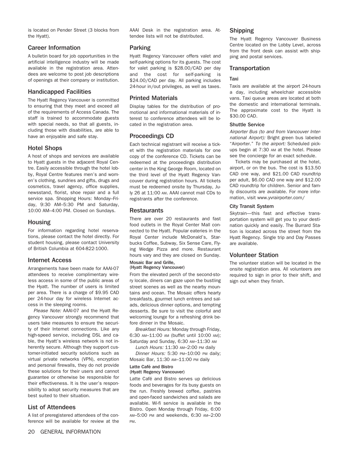is located on Pender Street (3 blocks from the Hyatt).

#### Career Information

A bulletin board for job opportunities in the artificial intelligence industry will be made available in the registration area. Attendees are welcome to post job descriptions of openings at their company or institution.

### Handicapped Facilities

The Hyatt Regency Vancouver is committed to ensuring that they meet and exceed all of the requirements of Access Canada. The staff is trained to accommodate guests with special needs, so that all guests, including those with disabilities, are able to have an enjoyable and safe stay.

## Hotel Shops

A host of shops and services are available to Hyatt guests in the adjacent Royal Centre. Easily accessible through the hotel lobby, Royal Centre features men's and women's clothing, sundries and gifts, drugs and cosmetics, travel agency, office supplies, newsstand, florist, shoe repair and a full service spa. Shopping Hours: Monday–Friday, 9:30 AM–5:30 PM and Saturday, 10:00 AM–4:00 PM. Closed on Sundays.

### Housing

For information regarding hotel reservations, please contact the hotel directly. For student housing, please contact University of British Columbia at 604-822-1000.

### Internet Access

Arrangements have been made for AAAI-07 attendees to receive complimentary wireless access in some of the public areas of the Hyatt. The number of users is limited per area. There is a charge of \$9.95 CAD per 24-hour day for wireless Internet access in the sleeping rooms.

Please Note: AAAI-07 and the Hyatt Regency Vancouver strongly recommend that users take measures to ensure the security of their Internet connections. Like any high-speed service, including DSL and cable, the Hyatt's wireless network is not inherently secure. Although they support customer-initiated security solutions such as virtual private networks (VPN), encryption and personal firewalls, they do not provide these solutions for their users and cannot guarantee or otherwise be responsible for their effectiveness. It is the user's responsibility to adopt security measures that are best suited to their situation.

## List of Attendees

A list of preregistered attendees of the conference will be available for review at the AAAI Desk in the registration area. Attendee lists will not be distributed.

#### Parking

Hyatt Regency Vancouver offers valet and self-parking options for its guests. The cost for valet parking is \$28.00/CAD per day and the cost for self-parking is \$24.00/CAD per day. All parking includes 24-hour in/out privileges, as well as taxes.

### Printed Materials

Display tables for the distribution of promotional and informational materials of interest to conference attendees will be located in the registration area.

## Proceedings CD

Each technical registrant will receive a ticket with the registration materials for one copy of the conference CD. Tickets can be redeemed at the proceedings distribution center in the King George Room, located on the third level of the Hyatt Regency Vancouver during registration hours. All tickets must be redeemed onsite by Thursday, July 26 at 11:00 AM. AAAI cannot mail CDs to registrants after the conference.

## **Restaurants**

There are over 20 restaurants and fast food outlets in the Royal Center Mall connected to the Hyatt. Popular eateries in the Royal Center include McDonald's, Starbucks Coffee, Subway, Six Sense Care, Flying Wedge Pizza and more. Restaurant hours vary and they are closed on Sunday.

#### Mosaic Bar and Grille, (Hyatt Regency Vancouver)

From the elevated perch of the second-story locale, diners can gaze upon the bustling street scenes as well as the nearby mountains and ocean. The Mosaic offers hearty breakfasts, gourmet lunch entrees and salads, delicious dinner options, and tempting desserts. Be sure to visit the colorful and welcoming lounge for a refreshing drink before dinner in the Mosaic.

Breakfast Hours: Monday through Friday, 6:30 AM–11:00 AM (buffet until 10:00 AM); Saturday and Sunday, 6:30 AM–11:30 AM

Lunch Hours: 11:30 AM–2:00 PM daily

Dinner Hours: 5:30 PM–10:00 PM daily; Mosaic Bar, 11:30 AM–11:00 PM daily

#### Latte Café and Bistro (Hyatt Regency Vancouver)

Latte Café and Bistro serves up delicious foods and beverages for its busy guests on the run. Freshly brewed coffee, pastries and open-faced sandwiches and salads are available. Wi-fi service is available in the Bistro. Open Monday through Friday, 6:00 AM–5:00 PM and weekends, 6:30 AM–2:00 PM.

## Shipping

The Hyatt Regency Vancouver Business Centre located on the Lobby Level, across from the front desk can assist with shipping and postal services.

#### **Transportation**

#### Taxi

Taxis are available at the airport 24-hours a day, including wheelchair accessible vans. Taxi queue areas are located at both the domestic and international terminals. The approximate cost to the Hyatt is \$30.00 CAD.

#### Shuttle Service

Airporter Bus (to and from Vancouver International Airport): Bright green bus labeled "Airporter." To the airport: Scheduled pickups begin at 7:30 AM at the hotel. Please see the concierge for an exact schedule.

Tickets may be purchased at the hotel, airport, or on the bus. The cost is \$13.50 CAD one way, and \$21.00 CAD roundtrip per adult, \$6.00 CAD one way and \$12.00 CAD roundtrip for children. Senior and family discounts are available. For more information, visit www.yvrairporter.com/

#### City Transit System

Skytrain—this fast and effective transportation system will get you to your destination quickly and easily. The Burrard Station is located across the street from the Hyatt Regency. Single trip and Day Passes are available.

### Volunteer Station

The volunteer station will be located in the onsite registration area. All volunteers are required to sign in prior to their shift, and sign out when they finish.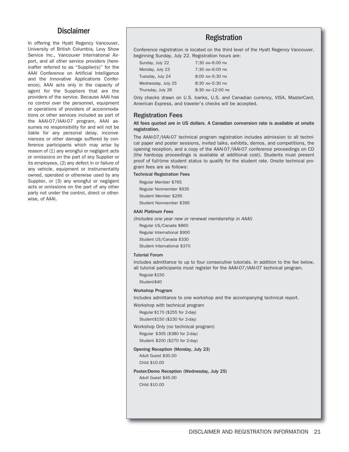## Disclaimer

In offering the Hyatt Regency Vancouver, University of British Columbia, Levy Show Service Inc., Vancouver International Airport, and all other service providers (hereinafter referred to as "Supplier(s)" for the AAAI Conference on Artificial Intelligence and the Innovative Applications Conference), AAAI acts only in the capacity of agent for the Suppliers that are the providers of the service. Because AAAI has no control over the personnel, equipment or operations of providers of accommodations or other services included as part of the AAAI-07/IAAI-07 program, AAAI assumes no responsibility for and will not be liable for any personal delay, inconveniences or other damage suffered by conference participants which may arise by reason of (1) any wrongful or negligent acts or omissions on the part of any Supplier or its employees, (2) any defect in or failure of any vehicle, equipment or instrumentality owned, operated or otherwise used by any Supplier, or (3) any wrongful or negligent acts or omissions on the part of any other party not under the control, direct or otherwise, of AAAI.

## Registration

Conference registration is located on the third level of the Hyatt Regency Vancouver, beginning Sunday, July 22. Registration hours are:

| Sunday, July 22    | 7:30 AM-6:00 PM  |
|--------------------|------------------|
| Monday, July 23    | 7:30 AM-6:00 PM  |
| Tuesday, July 24   | 8:00 AM-5:30 PM  |
| Wednesday, July 25 | 8:30 AM-5:30 PM  |
| Thursday, July 26  | 8:30 AM-12:00 PM |

Only checks drawn on U.S. banks, U.S. and Canadian currency, VISA, MasterCard, American Express, and traveler's checks will be accepted.

#### Registration Fees

#### All fees quoted are in US dollars. A Canadian conversion rate is available at onsite registration.

The AAAI-07/IAAI-07 technical program registration includes admission to all technical paper and poster sessions, invited talks, exhibits, demos, and competitions, the opening reception, and a copy of the AAAI-07/IAAI-07 conference proceedings on CD (the hardcopy proceedings is available at additional cost). Students must present proof of full-time student status to qualify for the student rate. Onsite technical program fees are as follows:

#### Technical Registration Fees

Regular Member \$765 Regular Nonmember \$935 Student Member \$295 Student Nonmember \$395

#### AAAI Platinum Fees

(Includes one year new or renewal membership in AAAI)

Regular US/Canada \$860

Regular International \$900

Student US/Canada \$330

Student International \$370

#### Tutorial Forum

Includes admittance to up to four consecutive tutorials. In addition to the fee below, all tutorial participants must register for the AAAI-07/IAAI-07 technical program.

Regular \$150 Student\$40

#### Workshop Program

Includes admittance to one workshop and the accompanying technical report.

Workshop with technical program

Regular \$170 (\$255 for 2-day)

Student\$150 (\$230 for 2-day)

Workshop Only (no technical program)

Regular \$305 (\$380 for 2-day) Student \$200 (\$270 for 2-day)

Opening Reception (Monday, July 23)

Adult Guest \$30.00 Child \$10.00

Poster/Demo Reception (Wednesday, July 25) Adult Guest \$45.00 Child \$10.00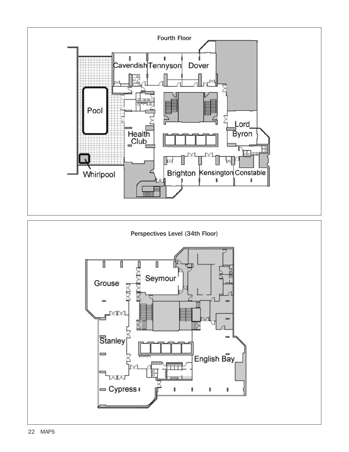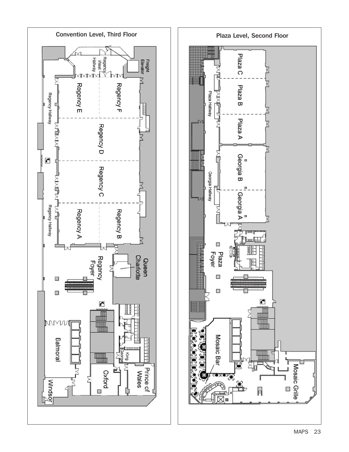